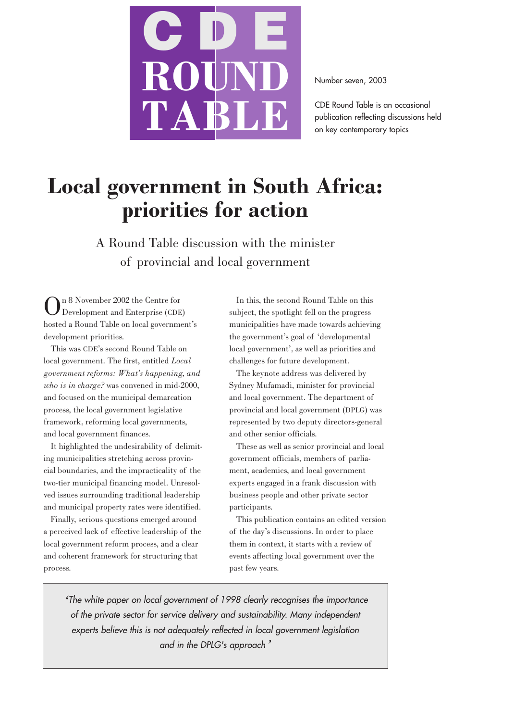

Number seven, 2003

CDE Round Table is an occasional publication reflecting discussions held on key contemporary topics

# **Local government in South Africa: priorities for action**

A Round Table discussion with the minister of provincial and local government

On 8 November 2002 the Centre for Development and Enterprise (CDE) hosted a Round Table on local government's development priorities.

This was CDE's second Round Table on local government. The first, entitled *Local government reforms: What's happening, and who is in charge?* was convened in mid-2000, and focused on the municipal demarcation process, the local government legislative framework, reforming local governments, and local government finances.

It highlighted the undesirability of delimiting municipalities stretching across provincial boundaries, and the impracticality of the two-tier municipal financing model. Unresolved issues surrounding traditional leadership and municipal property rates were identified.

Finally, serious questions emerged around a perceived lack of effective leadership of the local government reform process, and a clear and coherent framework for structuring that process.

In this, the second Round Table on this subject, the spotlight fell on the progress municipalities have made towards achieving the government's goal of 'developmental local government', as well as priorities and challenges for future development.

The keynote address was delivered by Sydney Mufamadi, minister for provincial and local government. The department of provincial and local government (DPLG) was represented by two deputy directors-general and other senior officials.

These as well as senior provincial and local government officials, members of parliament, academics, and local government experts engaged in a frank discussion with business people and other private sector participants.

This publication contains an edited version of the day's discussions. In order to place them in context, it starts with a review of events affecting local government over the past few years.

*'*The white paper on local government of 1998 clearly recognises the importance of the private sector for service delivery and sustainability. Many independent experts believe this is not adequately reflected in local government legislation and in the DPLG's approach*'*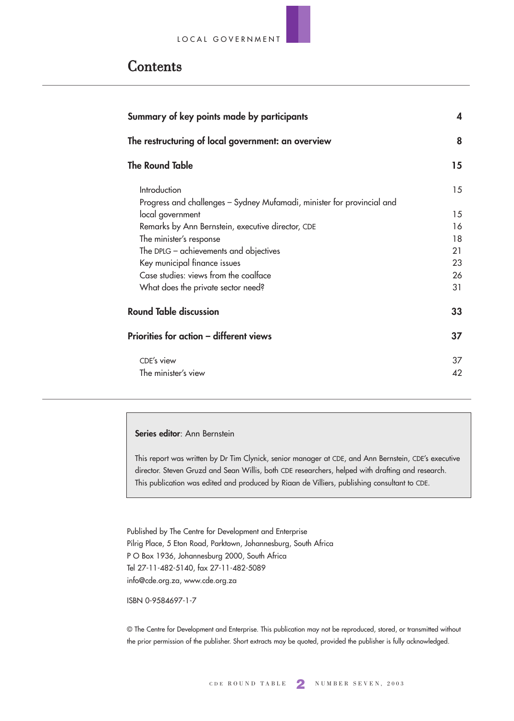# Contents

| Summary of key points made by participants                                             |    |  |  |
|----------------------------------------------------------------------------------------|----|--|--|
| The restructuring of local government: an overview                                     |    |  |  |
| <b>The Round Table</b>                                                                 | 15 |  |  |
| Introduction<br>Progress and challenges – Sydney Mufamadi, minister for provincial and | 15 |  |  |
| local government                                                                       | 15 |  |  |
| Remarks by Ann Bernstein, executive director, CDE                                      | 16 |  |  |
| The minister's response                                                                | 18 |  |  |
| The DPLG $-$ achievements and objectives                                               | 21 |  |  |
| Key municipal finance issues                                                           | 23 |  |  |
| Case studies: views from the coalface                                                  | 26 |  |  |
| What does the private sector need?                                                     | 31 |  |  |
| <b>Round Table discussion</b>                                                          |    |  |  |
| Priorities for action - different views                                                |    |  |  |
| CDE's view                                                                             | 37 |  |  |
| The minister's view                                                                    | 42 |  |  |

### **Series editor**: Ann Bernstein

This report was written by Dr Tim Clynick, senior manager at CDE, and Ann Bernstein, CDE's executive director. Steven Gruzd and Sean Willis, both CDE researchers, helped with drafting and research. This publication was edited and produced by Riaan de Villiers, publishing consultant to CDE.

Published by The Centre for Development and Enterprise Pilrig Place, 5 Eton Road, Parktown, Johannesburg, South Africa P O Box 1936, Johannesburg 2000, South Africa Tel 27-11-482-5140, fax 27-11-482-5089 info@cde.org.za, www.cde.org.za

#### ISBN 0-9584697-1-7

© The Centre for Development and Enterprise. This publication may not be reproduced, stored, or transmitted without the prior permission of the publisher. Short extracts may be quoted, provided the publisher is fully acknowledged.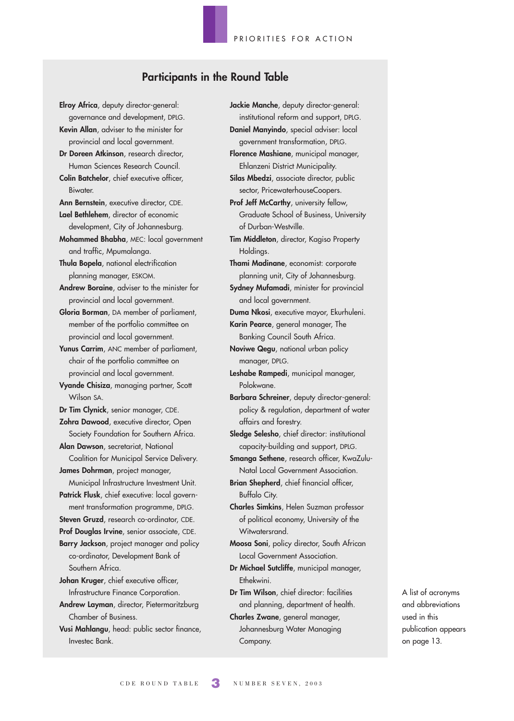### **Participants in the Round Table**

**Elroy Africa**, deputy director-general: governance and development, DPLG. **Kevin Allan**, adviser to the minister for provincial and local government. **Dr Doreen Atkinson**, research director, Human Sciences Research Council. **Colin Batchelor**, chief executive officer, Biwater. **Ann Bernstein**, executive director, CDE. **Lael Bethlehem**, director of economic development, City of Johannesburg. **Mohammed Bhabha**, MEC: local government and traffic, Mpumalanga. **Thula Bopela**, national electrification planning manager, ESKOM. **Andrew Boraine**, adviser to the minister for provincial and local government. **Gloria Borman**, DA member of parliament, member of the portfolio committee on provincial and local government. **Yunus Carrim**, ANC member of parliament, chair of the portfolio committee on provincial and local government. **Vyande Chisiza**, managing partner, Scott Wilson SA. **Dr Tim Clynick**, senior manager, CDE. **Zohra Dawood**, executive director, Open Society Foundation for Southern Africa. **Alan Dawson**, secretariat, National Coalition for Municipal Service Delivery. **James Dohrman**, project manager, Municipal Infrastructure Investment Unit. **Patrick Flusk**, chief executive: local government transformation programme, DPLG. **Steven Gruzd**, research co-ordinator, CDE. **Prof Douglas Irvine**, senior associate, CDE. **Barry Jackson**, project manager and policy co-ordinator, Development Bank of Southern Africa. **Johan Kruger**, chief executive officer, Infrastructure Finance Corporation. **Andrew Layman**, director, Pietermaritzburg Chamber of Business. **Vusi Mahlangu**, head: public sector finance, Investec Bank.

**Jackie Manche**, deputy director-general: institutional reform and support, DPLG. **Daniel Manyindo**, special adviser: local government transformation, DPLG. **Florence Mashiane**, municipal manager, Ehlanzeni District Municipality. **Silas Mbedzi**, associate director, public

sector, PricewaterhouseCoopers. Prof Jeff McCarthy, university fellow, Graduate School of Business, University of Durban-Westville.

**Tim Middleton**, director, Kagiso Property Holdings.

**Thami Madinane**, economist: corporate planning unit, City of Johannesburg.

**Sydney Mufamadi**, minister for provincial and local government.

**Duma Nkosi**, executive mayor, Ekurhuleni. **Karin Pearce**, general manager, The Banking Council South Africa.

**Noviwe Qegu**, national urban policy manager, DPLG.

**Leshabe Rampedi**, municipal manager, Polokwane.

**Barbara Schreiner**, deputy director-general: policy & regulation, department of water affairs and forestry.

**Sledge Selesho**, chief director: institutional capacity-building and support, DPLG.

**Smanga Sethene**, research officer, KwaZulu-Natal Local Government Association.

**Brian Shepherd**, chief financial officer, Buffalo City.

**Charles Simkins**, Helen Suzman professor of political economy, University of the Witwatersrand.

**Moosa Soni**, policy director, South African Local Government Association.

**Dr Michael Sutcliffe**, municipal manager, Ethekwini.

**Dr Tim Wilson**, chief director: facilities and planning, department of health.

**Charles Zwane**, general manager, Johannesburg Water Managing Company.

A list of acronyms and abbreviations used in this publication appears on page 13.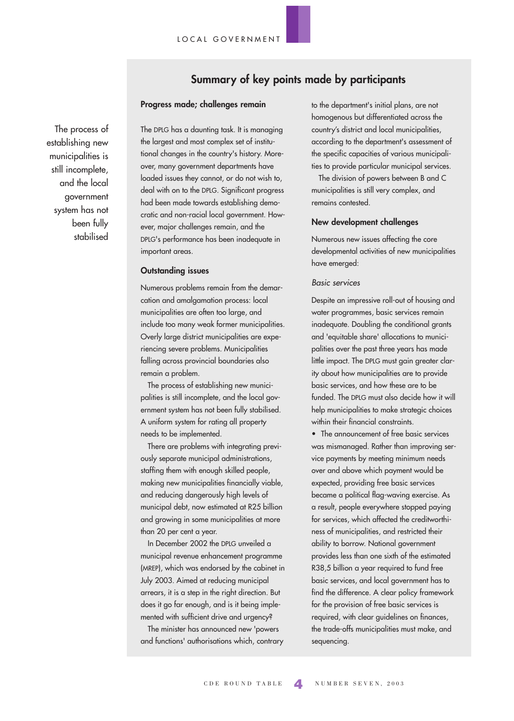### **Summary of key points made by participants**

### **Progress made; challenges remain**

The process of establishing new municipalities is still incomplete, and the local government system has not been fully stabilised The DPLG has a daunting task. It is managing the largest and most complex set of institutional changes in the country's history. Moreover, many government departments have loaded issues they cannot, or do not wish to, deal with on to the DPLG. Significant progress had been made towards establishing democratic and non-racial local government. However, major challenges remain, and the DPLG's performance has been inadequate in important areas.

#### **Outstanding issues**

Numerous problems remain from the demarcation and amalgamation process: local municipalities are often too large, and include too many weak former municipalities. Overly large district municipalities are experiencing severe problems. Municipalities falling across provincial boundaries also remain a problem.

The process of establishing new municipalities is still incomplete, and the local government system has not been fully stabilised. A uniform system for rating all property needs to be implemented.

There are problems with integrating previously separate municipal administrations, staffing them with enough skilled people, making new municipalities financially viable, and reducing dangerously high levels of municipal debt, now estimated at R25 billion and growing in some municipalities at more than 20 per cent a year.

In December 2002 the DPLG unveiled a municipal revenue enhancement programme (MREP), which was endorsed by the cabinet in July 2003. Aimed at reducing municipal arrears, it is a step in the right direction. But does it go far enough, and is it being implemented with sufficient drive and urgency?

The minister has announced new 'powers and functions' authorisations which, contrary

to the department's initial plans, are not homogenous but differentiated across the country's district and local municipalities, according to the department's assessment of the specific capacities of various municipalities to provide particular municipal services.

The division of powers between B and C municipalities is still very complex, and remains contested.

#### **New development challenges**

Numerous new issues affecting the core developmental activities of new municipalities have emerged:

### Basic services

Despite an impressive roll-out of housing and water programmes, basic services remain inadequate. Doubling the conditional grants and 'equitable share' allocations to municipalities over the past three years has made little impact. The DPLG must gain greater clarity about how municipalities are to provide basic services, and how these are to be funded. The DPLG must also decide how it will help municipalities to make strategic choices within their financial constraints.

• The announcement of free basic services was mismanaged. Rather than improving service payments by meeting minimum needs over and above which payment would be expected, providing free basic services became a political flag-waving exercise. As a result, people everywhere stopped paying for services, which affected the creditworthiness of municipalities, and restricted their ability to borrow. National government provides less than one sixth of the estimated R38,5 billion a year required to fund free basic services, and local government has to find the difference. A clear policy framework for the provision of free basic services is required, with clear guidelines on finances, the trade-offs municipalities must make, and sequencing.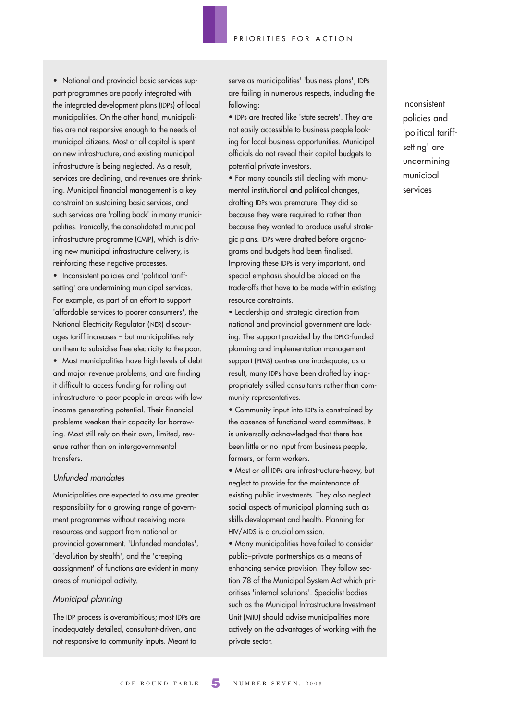• National and provincial basic services support programmes are poorly integrated with the integrated development plans (IDPs) of local municipalities. On the other hand, municipalities are not responsive enough to the needs of municipal citizens. Most or all capital is spent on new infrastructure, and existing municipal infrastructure is being neglected. As a result, services are declining, and revenues are shrinking. Municipal financial management is a key constraint on sustaining basic services, and such services are 'rolling back' in many municipalities. Ironically, the consolidated municipal infrastructure programme (CMIP), which is driving new municipal infrastructure delivery, is reinforcing these negative processes.

• Inconsistent policies and 'political tariffsetting' are undermining municipal services. For example, as part of an effort to support 'affordable services to poorer consumers', the National Electricity Regulator (NER) discourages tariff increases – but municipalities rely on them to subsidise free electricity to the poor. • Most municipalities have high levels of debt and major revenue problems, and are finding it difficult to access funding for rolling out infrastructure to poor people in areas with low income-generating potential. Their financial problems weaken their capacity for borrowing. Most still rely on their own, limited, revenue rather than on intergovernmental transfers.

### Unfunded mandates

Municipalities are expected to assume greater responsibility for a growing range of government programmes without receiving more resources and support from national or provincial government. 'Unfunded mandates', 'devolution by stealth', and the 'creeping aassignment' of functions are evident in many areas of municipal activity.

### Municipal planning

The IDP process is overambitious; most IDPs are inadequately detailed, consultant-driven, and not responsive to community inputs. Meant to

serve as municipalities' 'business plans', IDPs are failing in numerous respects, including the following:

• IDPs are treated like 'state secrets'. They are not easily accessible to business people looking for local business opportunities. Municipal officials do not reveal their capital budgets to potential private investors.

• For many councils still dealing with monumental institutional and political changes, drafting IDPs was premature. They did so because they were required to rather than because they wanted to produce useful strategic plans. IDPs were drafted before organograms and budgets had been finalised. Improving these IDPs is very important, and special emphasis should be placed on the trade-offs that have to be made within existing resource constraints.

• Leadership and strategic direction from national and provincial government are lacking. The support provided by the DPLG-funded planning and implementation management support (PIMS) centres are inadequate; as a result, many IDPs have been drafted by inappropriately skilled consultants rather than community representatives.

• Community input into IDPs is constrained by the absence of functional ward committees. It is universally acknowledged that there has been little or no input from business people, farmers, or farm workers.

• Most or all IDPs are infrastructure-heavy, but neglect to provide for the maintenance of existing public investments. They also neglect social aspects of municipal planning such as skills development and health. Planning for HIV/AIDS is a crucial omission.

• Many municipalities have failed to consider public–private partnerships as a means of enhancing service provision. They follow section 78 of the Municipal System Act which prioritises 'internal solutions'. Specialist bodies such as the Municipal Infrastructure Investment Unit (MIIU) should advise municipalities more actively on the advantages of working with the private sector.

Inconsistent policies and 'political tariffsetting' are undermining municipal services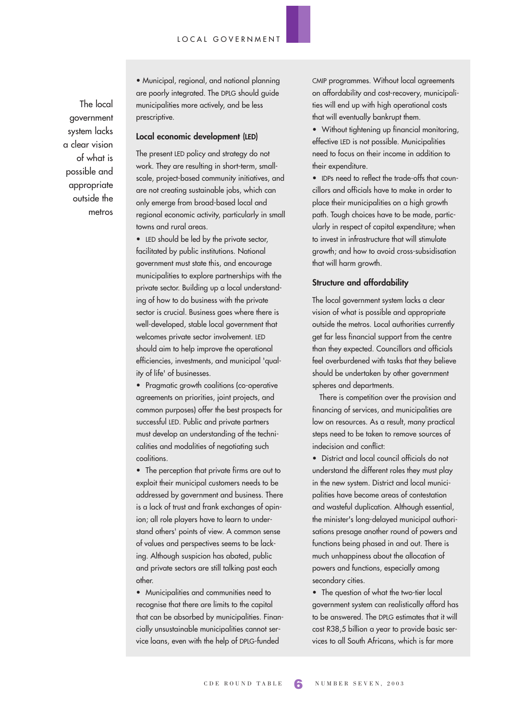The local government system lacks a clear vision of what is possible and appropriate outside the metros

• Municipal, regional, and national planning are poorly integrated. The DPLG should guide municipalities more actively, and be less prescriptive.

#### **Local economic development (LED)**

The present LED policy and strategy do not work. They are resulting in short-term, smallscale, project-based community initiatives, and are not creating sustainable jobs, which can only emerge from broad-based local and regional economic activity, particularly in small towns and rural areas.

• LED should be led by the private sector, facilitated by public institutions. National government must state this, and encourage municipalities to explore partnerships with the private sector. Building up a local understanding of how to do business with the private sector is crucial. Business goes where there is well-developed, stable local government that welcomes private sector involvement. LED should aim to help improve the operational efficiencies, investments, and municipal 'quality of life' of businesses.

• Pragmatic growth coalitions (co-operative agreements on priorities, joint projects, and common purposes) offer the best prospects for successful LED. Public and private partners must develop an understanding of the technicalities and modalities of negotiating such coalitions.

• The perception that private firms are out to exploit their municipal customers needs to be addressed by government and business. There is a lack of trust and frank exchanges of opinion; all role players have to learn to understand others' points of view. A common sense of values and perspectives seems to be lacking. Although suspicion has abated, public and private sectors are still talking past each other.

• Municipalities and communities need to recognise that there are limits to the capital that can be absorbed by municipalities. Financially unsustainable municipalities cannot service loans, even with the help of DPLG-funded

CMIP programmes. Without local agreements on affordability and cost-recovery, municipalities will end up with high operational costs that will eventually bankrupt them.

• Without tightening up financial monitoring, effective LED is not possible. Municipalities need to focus on their income in addition to their expenditure.

• IDPs need to reflect the trade-offs that councillors and officials have to make in order to place their municipalities on a high growth path. Tough choices have to be made, particularly in respect of capital expenditure; when to invest in infrastructure that will stimulate growth; and how to avoid cross-subsidisation that will harm growth.

### **Structure and affordability**

The local government system lacks a clear vision of what is possible and appropriate outside the metros. Local authorities currently get far less financial support from the centre than they expected. Councillors and officials feel overburdened with tasks that they believe should be undertaken by other government spheres and departments.

There is competition over the provision and financing of services, and municipalities are low on resources. As a result, many practical steps need to be taken to remove sources of indecision and conflict:

• District and local council officials do not understand the different roles they must play in the new system. District and local municipalities have become areas of contestation and wasteful duplication. Although essential, the minister's long-delayed municipal authorisations presage another round of powers and functions being phased in and out. There is much unhappiness about the allocation of powers and functions, especially among secondary cities.

• The question of what the two-tier local government system can realistically afford has to be answered. The DPLG estimates that it will cost R38,5 billion a year to provide basic services to all South Africans, which is far more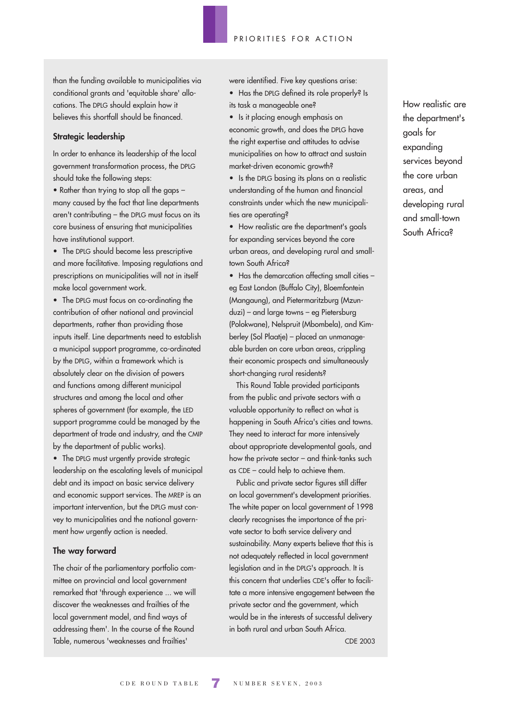than the funding available to municipalities via conditional grants and 'equitable share' allocations. The DPLG should explain how it believes this shortfall should be financed.

### **Strategic leadership**

In order to enhance its leadership of the local government transformation process, the DPLG should take the following steps:

• Rather than trying to stop all the gaps – many caused by the fact that line departments aren't contributing – the DPLG must focus on its core business of ensuring that municipalities have institutional support.

• The DPLG should become less prescriptive and more facilitative. Imposing regulations and prescriptions on municipalities will not in itself make local government work.

• The DPLG must focus on co-ordinating the contribution of other national and provincial departments, rather than providing those inputs itself. Line departments need to establish a municipal support programme, co-ordinated by the DPLG, within a framework which is absolutely clear on the division of powers and functions among different municipal structures and among the local and other spheres of government (for example, the LED support programme could be managed by the department of trade and industry, and the CMIP by the department of public works).

• The DPLG must urgently provide strategic leadership on the escalating levels of municipal debt and its impact on basic service delivery and economic support services. The MREP is an important intervention, but the DPLG must convey to municipalities and the national government how urgently action is needed.

### **The way forward**

The chair of the parliamentary portfolio committee on provincial and local government remarked that 'through experience ... we will discover the weaknesses and frailties of the local government model, and find ways of addressing them'. In the course of the Round Table, numerous 'weaknesses and frailties'

were identified. Five key questions arise:

• Has the DPLG defined its role properly? Is its task a manageable one?

• Is it placing enough emphasis on

economic growth, and does the DPLG have the right expertise and attitudes to advise municipalities on how to attract and sustain market-driven economic growth?

• Is the DPLG basing its plans on a realistic understanding of the human and financial constraints under which the new municipalities are operating?

• How realistic are the department's goals for expanding services beyond the core urban areas, and developing rural and smalltown South Africa?

• Has the demarcation affecting small cities – eg East London (Buffalo City), Bloemfontein (Mangaung), and Pietermaritzburg (Mzunduzi) – and large towns – eg Pietersburg (Polokwane), Nelspruit (Mbombela), and Kimberley (Sol Plaatje) – placed an unmanageable burden on core urban areas, crippling their economic prospects and simultaneously short-changing rural residents?

This Round Table provided participants from the public and private sectors with a valuable opportunity to reflect on what is happening in South Africa's cities and towns. They need to interact far more intensively about appropriate developmental goals, and how the private sector – and think-tanks such as CDE – could help to achieve them.

Public and private sector figures still differ on local government's development priorities. The white paper on local government of 1998 clearly recognises the importance of the private sector to both service delivery and sustainability. Many experts believe that this is not adequately reflected in local government legislation and in the DPLG's approach. It is this concern that underlies CDE's offer to facilitate a more intensive engagement between the private sector and the government, which would be in the interests of successful delivery in both rural and urban South Africa.

How realistic are the department's goals for expanding services beyond the core urban areas, and developing rural and small-town South Africa?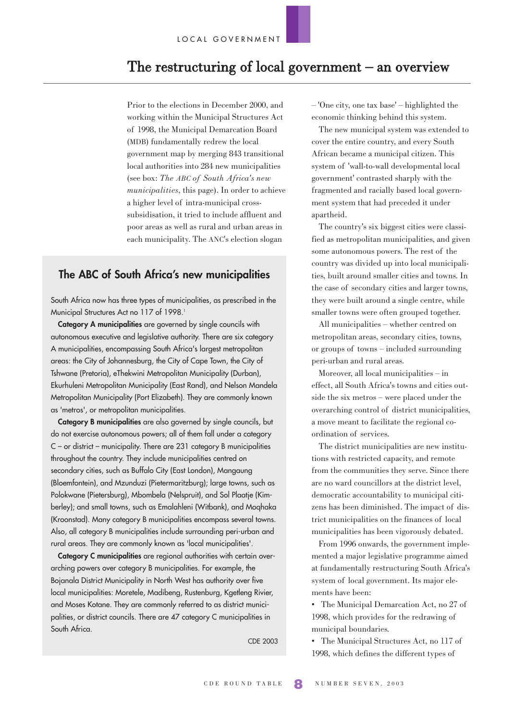# The restructuring of local government  $-$  an overview

Prior to the elections in December 2000, and working within the Municipal Structures Act of 1998, the Municipal Demarcation Board (MDB) fundamentally redrew the local government map by merging 843 transitional local authorities into 284 new municipalities (see box: *The ABC of South Africa's new municipalities*, this page). In order to achieve a higher level of intra-municipal crosssubsidisation, it tried to include affluent and poor areas as well as rural and urban areas in each municipality. The ANC's election slogan

### **The ABC of South Africa's new municipalities**

South Africa now has three types of municipalities, as prescribed in the Municipal Structures Act no 117 of 1998.<sup>1</sup>

**Category A municipalities** are governed by single councils with autonomous executive and legislative authority. There are six category A municipalities, encompassing South Africa's largest metropolitan areas: the City of Johannesburg, the City of Cape Town, the City of Tshwane (Pretoria), eThekwini Metropolitan Municipality (Durban), Ekurhuleni Metropolitan Municipality (East Rand), and Nelson Mandela Metropolitan Municipality (Port Elizabeth). They are commonly known as 'metros', or metropolitan municipalities.

**Category B municipalities** are also governed by single councils, but do not exercise autonomous powers; all of them fall under a category C – or district – municipality. There are 231 category B municipalities throughout the country. They include municipalities centred on secondary cities, such as Buffalo City (East London), Mangaung (Bloemfontein), and Mzunduzi (Pietermaritzburg); large towns, such as Polokwane (Pietersburg), Mbombela (Nelspruit), and Sol Plaatje (Kimberley); and small towns, such as Emalahleni (Witbank), and Moqhaka (Kroonstad). Many category B municipalities encompass several towns. Also, all category B municipalities include surrounding peri-urban and rural areas. They are commonly known as 'local municipalities'.

**Category C municipalities** are regional authorities with certain overarching powers over category B municipalities. For example, the Bojanala District Municipality in North West has authority over five local municipalities: Moretele, Madibeng, Rustenburg, Kgetleng Rivier, and Moses Kotane. They are commonly referred to as district municipalities, or district councils. There are 47 category C municipalities in South Africa.

CDE 2003

– 'One city, one tax base' – highlighted the economic thinking behind this system.

The new municipal system was extended to cover the entire country, and every South African became a municipal citizen. This system of 'wall-to-wall developmental local government' contrasted sharply with the fragmented and racially based local government system that had preceded it under apartheid.

The country's six biggest cities were classified as metropolitan municipalities, and given some autonomous powers. The rest of the country was divided up into local municipalities, built around smaller cities and towns. In the case of secondary cities and larger towns, they were built around a single centre, while smaller towns were often grouped together.

All municipalities – whether centred on metropolitan areas, secondary cities, towns, or groups of towns – included surrounding peri-urban and rural areas.

Moreover, all local municipalities – in effect, all South Africa's towns and cities outside the six metros – were placed under the overarching control of district municipalities, a move meant to facilitate the regional coordination of services.

The district municipalities are new institutions with restricted capacity, and remote from the communities they serve. Since there are no ward councillors at the district level, democratic accountability to municipal citizens has been diminished. The impact of district municipalities on the finances of local municipalities has been vigorously debated.

From 1996 onwards, the government implemented a major legislative programme aimed at fundamentally restructuring South Africa's system of local government. Its major elements have been:

• The Municipal Demarcation Act, no 27 of 1998, which provides for the redrawing of municipal boundaries.

• The Municipal Structures Act, no 117 of 1998, which defines the different types of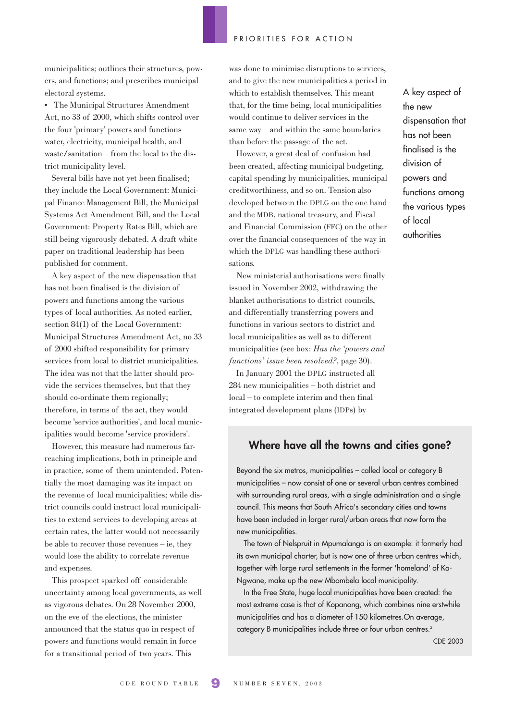municipalities; outlines their structures, powers, and functions; and prescribes municipal electoral systems.

• The Municipal Structures Amendment Act, no 33 of 2000, which shifts control over the four 'primary' powers and functions – water, electricity, municipal health, and waste/sanitation – from the local to the district municipality level.

Several bills have not yet been finalised; they include the Local Government: Municipal Finance Management Bill, the Municipal Systems Act Amendment Bill, and the Local Government: Property Rates Bill, which are still being vigorously debated. A draft white paper on traditional leadership has been published for comment.

A key aspect of the new dispensation that has not been finalised is the division of powers and functions among the various types of local authorities. As noted earlier, section 84(1) of the Local Government: Municipal Structures Amendment Act, no 33 of 2000 shifted responsibility for primary services from local to district municipalities. The idea was not that the latter should provide the services themselves, but that they should co-ordinate them regionally; therefore, in terms of the act, they would become 'service authorities', and local municipalities would become 'service providers'.

However, this measure had numerous farreaching implications, both in principle and in practice, some of them unintended. Potentially the most damaging was its impact on the revenue of local municipalities; while district councils could instruct local municipalities to extend services to developing areas at certain rates, the latter would not necessarily be able to recover those revenues – ie, they would lose the ability to correlate revenue and expenses.

This prospect sparked off considerable uncertainty among local governments, as well as vigorous debates. On 28 November 2000, on the eve of the elections, the minister announced that the status quo in respect of powers and functions would remain in force for a transitional period of two years. This

was done to minimise disruptions to services, and to give the new municipalities a period in which to establish themselves. This meant that, for the time being, local municipalities would continue to deliver services in the same way – and within the same boundaries – than before the passage of the act.

However, a great deal of confusion had been created, affecting municipal budgeting, capital spending by municipalities, municipal creditworthiness, and so on. Tension also developed between the DPLG on the one hand and the MDB, national treasury, and Fiscal and Financial Commission (FFC) on the other over the financial consequences of the way in which the DPLG was handling these authorisations.

New ministerial authorisations were finally issued in November 2002, withdrawing the blanket authorisations to district councils, and differentially transferring powers and functions in various sectors to district and local municipalities as well as to different municipalities (see box: *Has the 'powers and functions' issue been resolved?,* page 30).

In January 2001 the DPLG instructed all 284 new municipalities – both district and local – to complete interim and then final integrated development plans (IDPs) by

A key aspect of the new dispensation that has not been finalised is the division of powers and functions among the various types of local authorities

### **Where have all the towns and cities gone?**

Beyond the six metros, municipalities – called local or category B municipalities – now consist of one or several urban centres combined with surrounding rural areas, with a single administration and a single council. This means that South Africa's secondary cities and towns have been included in larger rural/urban areas that now form the new municipalities.

The town of Nelspruit in Mpumalanga is an example: it formerly had its own municipal charter, but is now one of three urban centres which, together with large rural settlements in the former 'homeland' of Ka-Ngwane, make up the new Mbombela local municipality.

In the Free State, huge local municipalities have been created: the most extreme case is that of Kopanong, which combines nine erstwhile municipalities and has a diameter of 150 kilometres.On average, category B municipalities include three or four urban centres.<sup>2</sup>

CDE 2003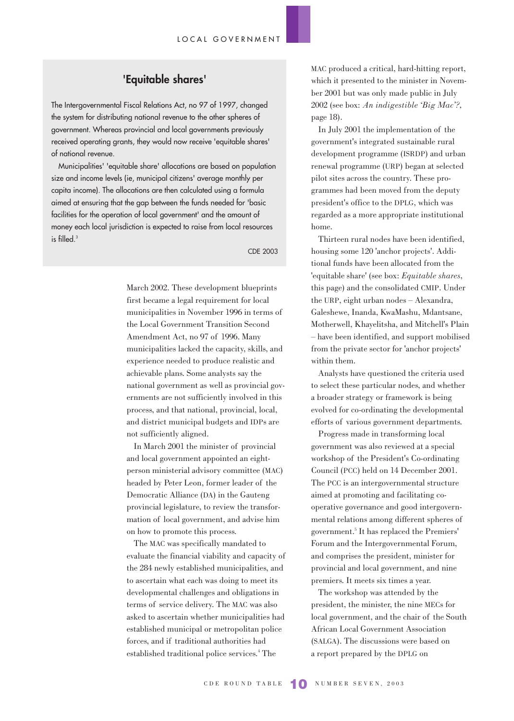### **'Equitable shares'**

The Intergovernmental Fiscal Relations Act, no 97 of 1997, changed the system for distributing national revenue to the other spheres of government. Whereas provincial and local governments previously received operating grants, they would now receive 'equitable shares' of national revenue.

Municipalities' 'equitable share' allocations are based on population size and income levels (ie, municipal citizens' average monthly per capita income). The allocations are then calculated using a formula aimed at ensuring that the gap between the funds needed for 'basic facilities for the operation of local government' and the amount of money each local jurisdiction is expected to raise from local resources is filled.<sup>3</sup>

CDE 2003

March 2002. These development blueprints first became a legal requirement for local municipalities in November 1996 in terms of the Local Government Transition Second Amendment Act, no 97 of 1996. Many municipalities lacked the capacity, skills, and experience needed to produce realistic and achievable plans. Some analysts say the national government as well as provincial governments are not sufficiently involved in this process, and that national, provincial, local, and district municipal budgets and IDPs are not sufficiently aligned.

In March 2001 the minister of provincial and local government appointed an eightperson ministerial advisory committee (MAC) headed by Peter Leon, former leader of the Democratic Alliance (DA) in the Gauteng provincial legislature, to review the transformation of local government, and advise him on how to promote this process.

The MAC was specifically mandated to evaluate the financial viability and capacity of the 284 newly established municipalities, and to ascertain what each was doing to meet its developmental challenges and obligations in terms of service delivery. The MAC was also asked to ascertain whether municipalities had established municipal or metropolitan police forces, and if traditional authorities had established traditional police services.<sup>4</sup> The

MAC produced a critical, hard-hitting report, which it presented to the minister in November 2001 but was only made public in July 2002 (see box: *An indigestible 'Big Mac'?,* page 18).

In July 2001 the implementation of the government's integrated sustainable rural development programme (ISRDP) and urban renewal programme (URP) began at selected pilot sites across the country. These programmes had been moved from the deputy president's office to the DPLG, which was regarded as a more appropriate institutional home.

Thirteen rural nodes have been identified, housing some 120 'anchor projects'. Additional funds have been allocated from the 'equitable share' (see box: *Equitable shares*, this page) and the consolidated CMIP. Under the URP, eight urban nodes – Alexandra, Galeshewe, Inanda, KwaMashu, Mdantsane, Motherwell, Khayelitsha, and Mitchell's Plain – have been identified, and support mobilised from the private sector for 'anchor projects' within them.

Analysts have questioned the criteria used to select these particular nodes, and whether a broader strategy or framework is being evolved for co-ordinating the developmental efforts of various government departments.

Progress made in transforming local government was also reviewed at a special workshop of the President's Co-ordinating Council (PCC) held on 14 December 2001. The PCC is an intergovernmental structure aimed at promoting and facilitating cooperative governance and good intergovernmental relations among different spheres of government.5 It has replaced the Premiers' Forum and the Intergovernmental Forum, and comprises the president, minister for provincial and local government, and nine premiers. It meets six times a year.

The workshop was attended by the president, the minister, the nine MECs for local government, and the chair of the South African Local Government Association (SALGA). The discussions were based on a report prepared by the DPLG on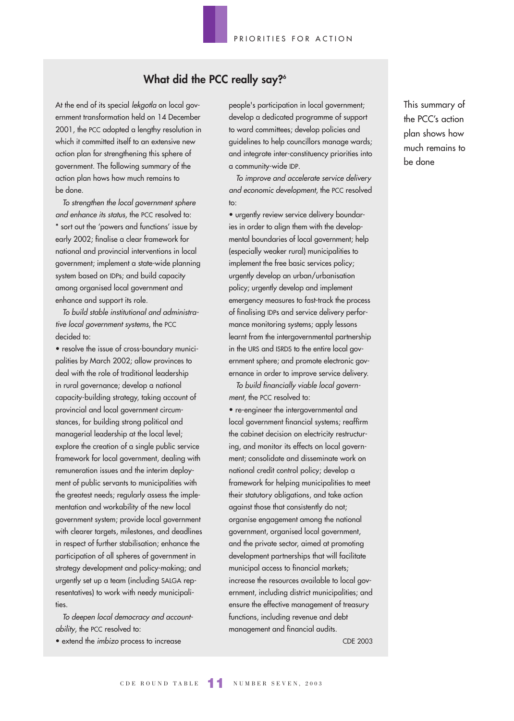# **What did the PCC really say?6**

At the end of its special lekgotla on local government transformation held on 14 December 2001, the PCC adopted a lengthy resolution in which it committed itself to an extensive new action plan for strengthening this sphere of government. The following summary of the action plan hows how much remains to be done.

To strengthen the local government sphere and enhance its status, the PCC resolved to: \* sort out the 'powers and functions' issue by early 2002; finalise a clear framework for national and provincial interventions in local government; implement a state-wide planning system based on IDPs; and build capacity among organised local government and enhance and support its role.

To build stable institutional and administrative local government systems, the PCC decided to:

• resolve the issue of cross-boundary municipalities by March 2002; allow provinces to deal with the role of traditional leadership in rural governance; develop a national capacity-building strategy, taking account of provincial and local government circumstances, for building strong political and managerial leadership at the local level; explore the creation of a single public service framework for local government, dealing with remuneration issues and the interim deployment of public servants to municipalities with the greatest needs; regularly assess the implementation and workability of the new local government system; provide local government with clearer targets, milestones, and deadlines in respect of further stabilisation; enhance the participation of all spheres of government in strategy development and policy-making; and urgently set up a team (including SALGA representatives) to work with needy municipalities.

To deepen local democracy and accountability, the PCC resolved to:

• extend the imbizo process to increase

people's participation in local government; develop a dedicated programme of support to ward committees; develop policies and guidelines to help councillors manage wards; and integrate inter-constituency priorities into a community-wide IDP.

To improve and accelerate service delivery and economic development, the PCC resolved to:

• urgently review service delivery boundaries in order to align them with the developmental boundaries of local government; help (especially weaker rural) municipalities to implement the free basic services policy; urgently develop an urban/urbanisation policy; urgently develop and implement emergency measures to fast-track the process of finalising IDPs and service delivery performance monitoring systems; apply lessons learnt from the intergovernmental partnership in the URS and ISRDS to the entire local government sphere; and promote electronic governance in order to improve service delivery.

To build financially viable local government, the PCC resolved to:

• re-engineer the intergovernmental and local government financial systems; reaffirm the cabinet decision on electricity restructuring, and monitor its effects on local government; consolidate and disseminate work on national credit control policy; develop a framework for helping municipalities to meet their statutory obligations, and take action against those that consistently do not; organise engagement among the national government, organised local government, and the private sector, aimed at promoting development partnerships that will facilitate municipal access to financial markets; increase the resources available to local government, including district municipalities; and ensure the effective management of treasury functions, including revenue and debt management and financial audits.

CDE 2003

This summary of the PCC's action plan shows how much remains to be done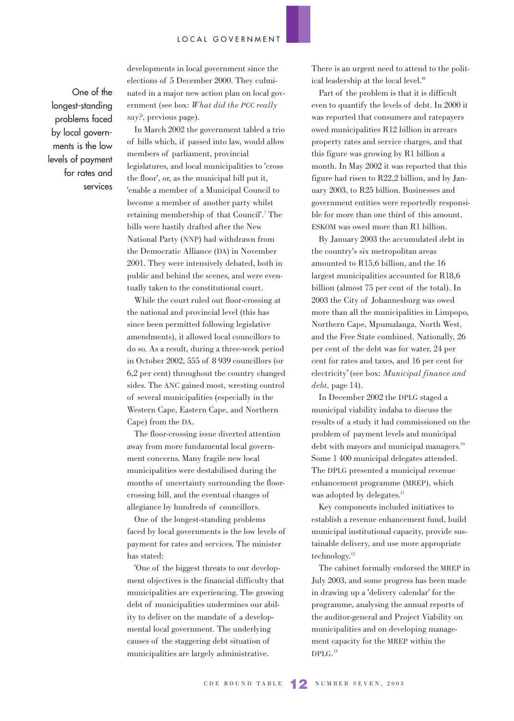One of the longest-standing problems faced by local governments is the low levels of payment for rates and services developments in local government since the elections of 5 December 2000. They culminated in a major new action plan on local government (see box: *What did the PCC really say?*, previous page).

In March 2002 the government tabled a trio of bills which, if passed into law, would allow members of parliament, provincial legislatures, and local municipalities to 'cross the floor', or, as the municipal bill put it, 'enable a member of a Municipal Council to become a member of another party whilst retaining membership of that Council'.7 The bills were hastily drafted after the New National Party (NNP) had withdrawn from the Democratic Alliance (DA) in November 2001. They were intensively debated, both in public and behind the scenes, and were eventually taken to the constitutional court.

While the court ruled out floor-crossing at the national and provincial level (this has since been permitted following legislative amendments), it allowed local councillors to do so. As a result, during a three-week period in October 2002, 555 of 8 939 councillors (or 6,2 per cent) throughout the country changed sides. The ANC gained most, wresting control of several municipalities (especially in the Western Cape, Eastern Cape, and Northern Cape) from the DA.

The floor-crossing issue diverted attention away from more fundamental local government concerns. Many fragile new local municipalities were destabilised during the months of uncertainty surrounding the floorcrossing bill, and the eventual changes of allegiance by hundreds of councillors.

One of the longest-standing problems faced by local governments is the low levels of payment for rates and services. The minister has stated:

'One of the biggest threats to our development objectives is the financial difficulty that municipalities are experiencing. The growing debt of municipalities undermines our ability to deliver on the mandate of a developmental local government. The underlying causes of the staggering debt situation of municipalities are largely administrative.

There is an urgent need to attend to the political leadership at the local level.'8

Part of the problem is that it is difficult even to quantify the levels of debt. In 2000 it was reported that consumers and ratepayers owed municipalities R12 billion in arrears property rates and service charges, and that this figure was growing by R1 billion a month. In May 2002 it was reported that this figure had risen to R22,2 billion, and by January 2003, to R25 billion. Businesses and government entities were reportedly responsible for more than one third of this amount. ESKOM was owed more than R1 billion.

By January 2003 the accumulated debt in the country's six metropolitan areas amounted to R15,6 billion, and the 16 largest municipalities accounted for R18,6 billion (almost 75 per cent of the total). In 2003 the City of Johannesburg was owed more than all the municipalities in Limpopo, Northern Cape, Mpumalanga, North West, and the Free State combined. Nationally, 26 per cent of the debt was for water, 24 per cent for rates and taxes, and 16 per cent for electricity9 (see box: *Municipal finance and debt*, page 14).

In December 2002 the DPLG staged a municipal viability indaba to discuss the results of a study it had commissioned on the problem of payment levels and municipal debt with mayors and municipal managers.<sup>10</sup> Some 1 400 municipal delegates attended. The DPLG presented a municipal revenue enhancement programme (MREP), which was adopted by delegates.<sup>11</sup>

Key components included initiatives to establish a revenue enhancement fund, build municipal institutional capacity, provide sustainable delivery, and use more appropriate technology.12

The cabinet formally endorsed the MREP in July 2003, and some progress has been made in drawing up a 'delivery calendar' for the programme, analysing the annual reports of the auditor-general and Project Viability on municipalities and on developing management capacity for the MREP within the DPLG. 13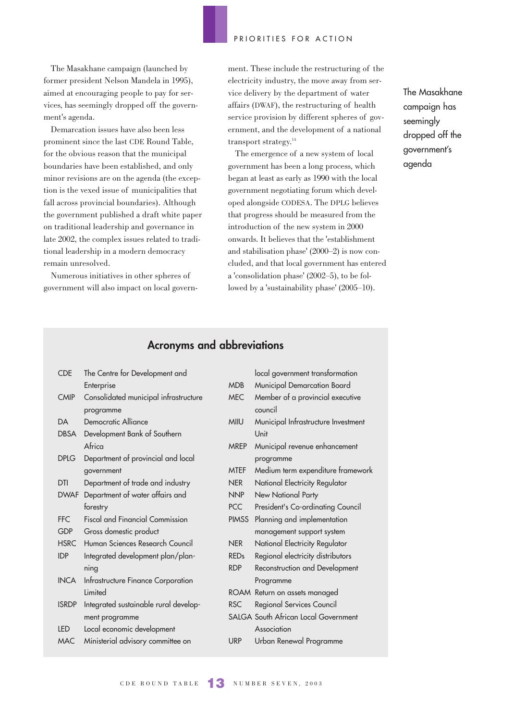The Masakhane campaign (launched by former president Nelson Mandela in 1995), aimed at encouraging people to pay for services, has seemingly dropped off the government's agenda.

Demarcation issues have also been less prominent since the last CDE Round Table, for the obvious reason that the municipal boundaries have been established, and only minor revisions are on the agenda (the exception is the vexed issue of municipalities that fall across provincial boundaries). Although the government published a draft white paper on traditional leadership and governance in late 2002, the complex issues related to traditional leadership in a modern democracy remain unresolved.

Numerous initiatives in other spheres of government will also impact on local government. These include the restructuring of the electricity industry, the move away from service delivery by the department of water affairs (DWAF), the restructuring of health service provision by different spheres of government, and the development of a national transport strategy.14

The emergence of a new system of local government has been a long process, which began at least as early as 1990 with the local government negotiating forum which developed alongside CODESA. The DPLG believes that progress should be measured from the introduction of the new system in 2000 onwards. It believes that the 'establishment and stabilisation phase' (2000–2) is now concluded, and that local government has entered a 'consolidation phase' (2002–5), to be followed by a 'sustainability phase' (2005–10).

The Masakhane campaign has seemingly dropped off the government's agenda

# **Acronyms and abbreviations**

| <b>CDE</b>   | The Centre for Development and         |              | local government transformation             |
|--------------|----------------------------------------|--------------|---------------------------------------------|
|              |                                        | <b>MDB</b>   | Municipal Demarcation Board                 |
| <b>CMIP</b>  | Enterprise                             | <b>MEC</b>   |                                             |
|              | Consolidated municipal infrastructure  |              | Member of a provincial executive<br>council |
|              | programme                              |              |                                             |
| <b>DA</b>    | Democratic Alliance                    | <b>MIIU</b>  | Municipal Infrastructure Investment         |
| DBSA         | Development Bank of Southern           |              | Unit                                        |
|              | Africa                                 | <b>MREP</b>  | Municipal revenue enhancement               |
| <b>DPLG</b>  | Department of provincial and local     |              | programme                                   |
|              | government                             | <b>MTEF</b>  | Medium term expenditure framework           |
| <b>DTI</b>   | Department of trade and industry       | <b>NER</b>   | National Electricity Regulator              |
|              | DWAF Department of water affairs and   | <b>NNP</b>   | New National Party                          |
|              | forestry                               | PCC          | President's Co-ordinating Council           |
| FFC          | <b>Fiscal and Financial Commission</b> | <b>PIMSS</b> | Planning and implementation                 |
| <b>GDP</b>   | Gross domestic product                 |              | management support system                   |
| <b>HSRC</b>  | Human Sciences Research Council        | <b>NER</b>   | National Electricity Regulator              |
| <b>IDP</b>   | Integrated development plan/plan-      | <b>REDs</b>  | Regional electricity distributors           |
|              | ning                                   | <b>RDP</b>   | Reconstruction and Development              |
| <b>INCA</b>  | Infrastructure Finance Corporation     |              | Programme                                   |
|              | Limited                                |              | ROAM Return on assets managed               |
| <b>ISRDP</b> | Integrated sustainable rural develop-  | <b>RSC</b>   | Regional Services Council                   |
|              | ment programme                         |              | SALGA South African Local Government        |
| <b>LED</b>   | Local economic development             |              | Association                                 |
| <b>MAC</b>   | Ministerial advisory committee on      | <b>URP</b>   | Urban Renewal Programme                     |
|              |                                        |              |                                             |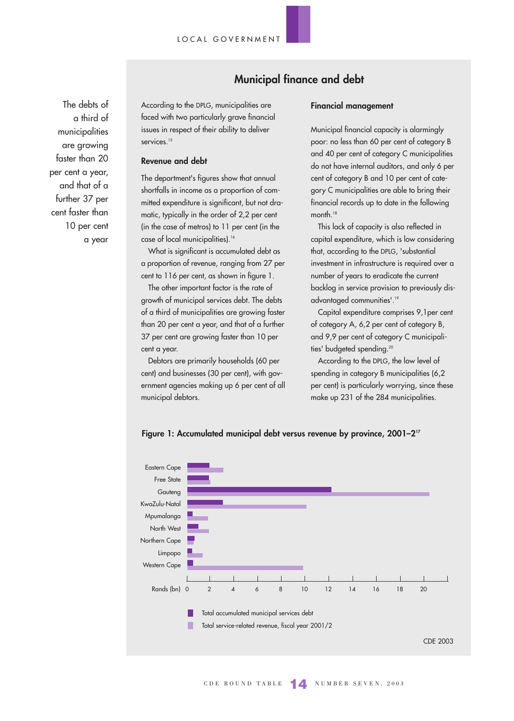The debts of a third of municipalities are growing faster than 20 per cent a year, and that of a further 37 per cent faster than 10 per cent a year

According to the DPLG, municipalities are faced with two particularly grave financial issues in respect of their ability to deliver services.<sup>15</sup>

### **Revenue and debt**

The department's figures show that annual shortfalls in income as a proportion of committed expenditure is significant, but not dramatic, typically in the order of 2,2 per cent (in the case of metros) to 11 per cent (in the case of local municipalities).<sup>16</sup>

What is significant is accumulated debt as a proportion of revenue, ranging from 27 per cent to 116 per cent, as shown in figure 1.

The other important factor is the rate of growth of municipal services debt. The debts of a third of municipalities are growing faster than 20 per cent a year, and that of a further 37 per cent are growing faster than 10 per cent a year.

Debtors are primarily households (60 per cent) and businesses (30 per cent), with government agencies making up 6 per cent of all municipal debtors.

# **Financial management**

**Municipal finance and debt**

Municipal financial capacity is alarmingly poor: no less than 60 per cent of category B and 40 per cent of category C municipalities do not have internal auditors, and only 6 per cent of category B and 10 per cent of category C municipalities are able to bring their financial records up to date in the following month.<sup>18</sup>

This lack of capacity is also reflected in capital expenditure, which is low considering that, according to the DPLG, 'substantial investment in infrastructure is required over a number of years to eradicate the current backlog in service provision to previously disadvantaged communities'.19

Capital expenditure comprises 9,1per cent of category A, 6,2 per cent of category B, and 9,9 per cent of category C municipalities' budgeted spending.<sup>20</sup>

According to the DPLG, the low level of spending in category B municipalities (6,2 per cent) is particularly worrying, since these make up 231 of the 284 municipalities.



### **Figure 1: Accumulated municipal debt versus revenue by province, 2001–217**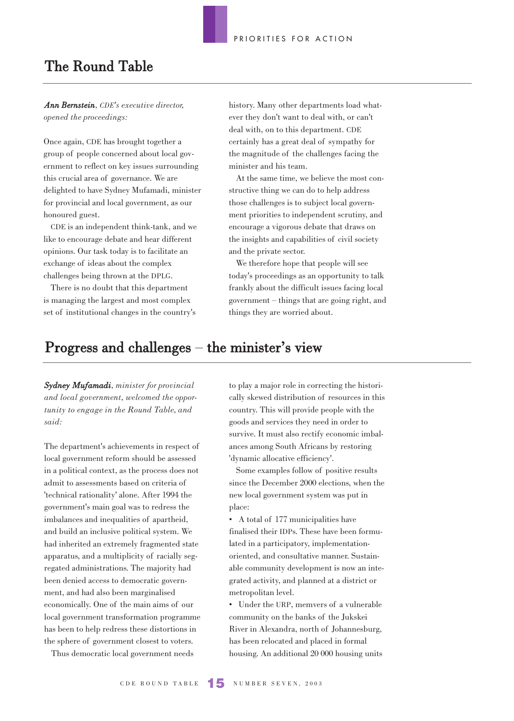# The Round Table

*Ann Bernstein, CDE's executive director, opened the proceedings:*

Once again, CDE has brought together a group of people concerned about local government to reflect on key issues surrounding this crucial area of governance. We are delighted to have Sydney Mufamadi, minister for provincial and local government, as our honoured guest.

CDE is an independent think-tank, and we like to encourage debate and hear different opinions. Our task today is to facilitate an exchange of ideas about the complex challenges being thrown at the DPLG.

There is no doubt that this department is managing the largest and most complex set of institutional changes in the country's history. Many other departments load whatever they don't want to deal with, or can't deal with, on to this department. CDE certainly has a great deal of sympathy for the magnitude of the challenges facing the minister and his team.

At the same time, we believe the most constructive thing we can do to help address those challenges is to subject local government priorities to independent scrutiny, and encourage a vigorous debate that draws on the insights and capabilities of civil society and the private sector.

We therefore hope that people will see today's proceedings as an opportunity to talk frankly about the difficult issues facing local government – things that are going right, and things they are worried about.

# $\bf{Progress~and~challenges}-\text{the minister's view}$

*Sydney Mufamadi, minister for provincial and local government, welcomed the opportunity to engage in the Round Table, and said:*

The department's achievements in respect of local government reform should be assessed in a political context, as the process does not admit to assessments based on criteria of 'technical rationality' alone. After 1994 the government's main goal was to redress the imbalances and inequalities of apartheid, and build an inclusive political system. We had inherited an extremely fragmented state apparatus, and a multiplicity of racially segregated administrations. The majority had been denied access to democratic government, and had also been marginalised economically. One of the main aims of our local government transformation programme has been to help redress these distortions in the sphere of government closest to voters.

Thus democratic local government needs

to play a major role in correcting the historically skewed distribution of resources in this country. This will provide people with the goods and services they need in order to survive. It must also rectify economic imbalances among South Africans by restoring 'dynamic allocative efficiency'.

Some examples follow of positive results since the December 2000 elections, when the new local government system was put in place:

• A total of 177 municipalities have finalised their IDPs. These have been formulated in a participatory, implementationoriented, and consultative manner. Sustainable community development is now an integrated activity, and planned at a district or metropolitan level.

• Under the URP, memvers of a vulnerable community on the banks of the Jukskei River in Alexandra, north of Johannesburg, has been relocated and placed in formal housing. An additional 20 000 housing units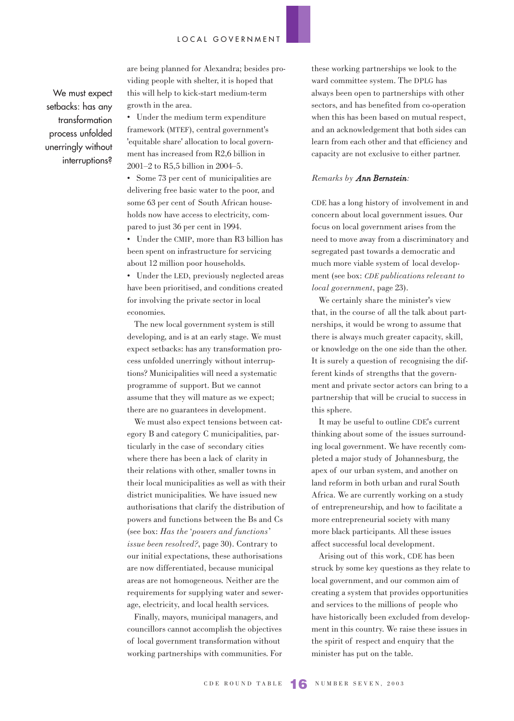We must expect setbacks: has any transformation process unfolded unerringly without interruptions?

are being planned for Alexandra; besides providing people with shelter, it is hoped that this will help to kick-start medium-term growth in the area.

• Under the medium term expenditure framework (MTEF), central government's 'equitable share' allocation to local government has increased from R2,6 billion in 2001–2 to R5,5 billion in 2004–5.

• Some 73 per cent of municipalities are delivering free basic water to the poor, and some 63 per cent of South African households now have access to electricity, compared to just 36 per cent in 1994.

• Under the CMIP, more than R3 billion has been spent on infrastructure for servicing about 12 million poor households.

• Under the LED, previously neglected areas have been prioritised, and conditions created for involving the private sector in local economies.

The new local government system is still developing, and is at an early stage. We must expect setbacks: has any transformation process unfolded unerringly without interruptions? Municipalities will need a systematic programme of support. But we cannot assume that they will mature as we expect; there are no guarantees in development.

We must also expect tensions between category B and category C municipalities, particularly in the case of secondary cities where there has been a lack of clarity in their relations with other, smaller towns in their local municipalities as well as with their district municipalities. We have issued new authorisations that clarify the distribution of powers and functions between the Bs and Cs (see box: *Has the* '*powers and functions' issue been resolved?*, page 30). Contrary to our initial expectations, these authorisations are now differentiated, because municipal areas are not homogeneous. Neither are the requirements for supplying water and sewerage, electricity, and local health services.

Finally, mayors, municipal managers, and councillors cannot accomplish the objectives of local government transformation without working partnerships with communities. For these working partnerships we look to the ward committee system. The DPLG has always been open to partnerships with other sectors, and has benefited from co-operation when this has been based on mutual respect, and an acknowledgement that both sides can learn from each other and that efficiency and capacity are not exclusive to either partner.

#### *Remarks by Ann Bernstein:*

CDE has a long history of involvement in and concern about local government issues. Our focus on local government arises from the need to move away from a discriminatory and segregated past towards a democratic and much more viable system of local development (see box: *CDE publications relevant to local government*, page 23).

We certainly share the minister's view that, in the course of all the talk about partnerships, it would be wrong to assume that there is always much greater capacity, skill, or knowledge on the one side than the other. It is surely a question of recognising the different kinds of strengths that the government and private sector actors can bring to a partnership that will be crucial to success in this sphere.

It may be useful to outline CDE's current thinking about some of the issues surrounding local government. We have recently completed a major study of Johannesburg, the apex of our urban system, and another on land reform in both urban and rural South Africa. We are currently working on a study of entrepreneurship, and how to facilitate a more entrepreneurial society with many more black participants. All these issues affect successful local development.

Arising out of this work, CDE has been struck by some key questions as they relate to local government, and our common aim of creating a system that provides opportunities and services to the millions of people who have historically been excluded from development in this country. We raise these issues in the spirit of respect and enquiry that the minister has put on the table.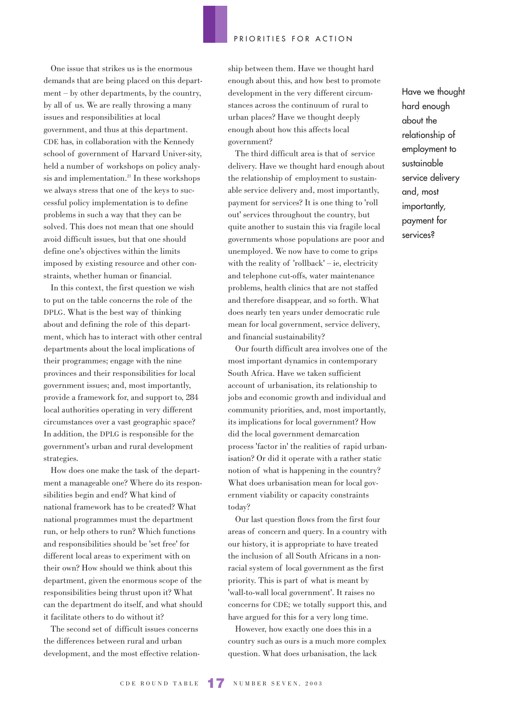One issue that strikes us is the enormous demands that are being placed on this department – by other departments, by the country, by all of us. We are really throwing a many issues and responsibilities at local government, and thus at this department. CDE has, in collaboration with the Kennedy school of government of Harvard Univer-sity, held a number of workshops on policy analysis and implementation.<sup>21</sup> In these workshops we always stress that one of the keys to successful policy implementation is to define problems in such a way that they can be solved. This does not mean that one should avoid difficult issues, but that one should define one's objectives within the limits imposed by existing resource and other constraints, whether human or financial.

In this context, the first question we wish to put on the table concerns the role of the DPLG. What is the best way of thinking about and defining the role of this department, which has to interact with other central departments about the local implications of their programmes; engage with the nine provinces and their responsibilities for local government issues; and, most importantly, provide a framework for, and support to, 284 local authorities operating in very different circumstances over a vast geographic space? In addition, the DPLG is responsible for the government's urban and rural development strategies.

How does one make the task of the department a manageable one? Where do its responsibilities begin and end? What kind of national framework has to be created? What national programmes must the department run, or help others to run? Which functions and responsibilities should be 'set free' for different local areas to experiment with on their own? How should we think about this department, given the enormous scope of the responsibilities being thrust upon it? What can the department do itself, and what should it facilitate others to do without it?

The second set of difficult issues concerns the differences between rural and urban development, and the most effective relationship between them. Have we thought hard enough about this, and how best to promote development in the very different circumstances across the continuum of rural to urban places? Have we thought deeply enough about how this affects local government?

The third difficult area is that of service delivery. Have we thought hard enough about the relationship of employment to sustainable service delivery and, most importantly, payment for services? It is one thing to 'roll out' services throughout the country, but quite another to sustain this via fragile local governments whose populations are poor and unemployed. We now have to come to grips with the reality of 'rollback' – ie, electricity and telephone cut-offs, water maintenance problems, health clinics that are not staffed and therefore disappear, and so forth. What does nearly ten years under democratic rule mean for local government, service delivery, and financial sustainability?

Our fourth difficult area involves one of the most important dynamics in contemporary South Africa. Have we taken sufficient account of urbanisation, its relationship to jobs and economic growth and individual and community priorities, and, most importantly, its implications for local government? How did the local government demarcation process 'factor in' the realities of rapid urbanisation? Or did it operate with a rather static notion of what is happening in the country? What does urbanisation mean for local government viability or capacity constraints today?

Our last question flows from the first four areas of concern and query. In a country with our history, it is appropriate to have treated the inclusion of all South Africans in a nonracial system of local government as the first priority. This is part of what is meant by 'wall-to-wall local government'. It raises no concerns for CDE; we totally support this, and have argued for this for a very long time.

However, how exactly one does this in a country such as ours is a much more complex question. What does urbanisation, the lack

Have we thought hard enough about the relationship of employment to sustainable service delivery and, most importantly, payment for services?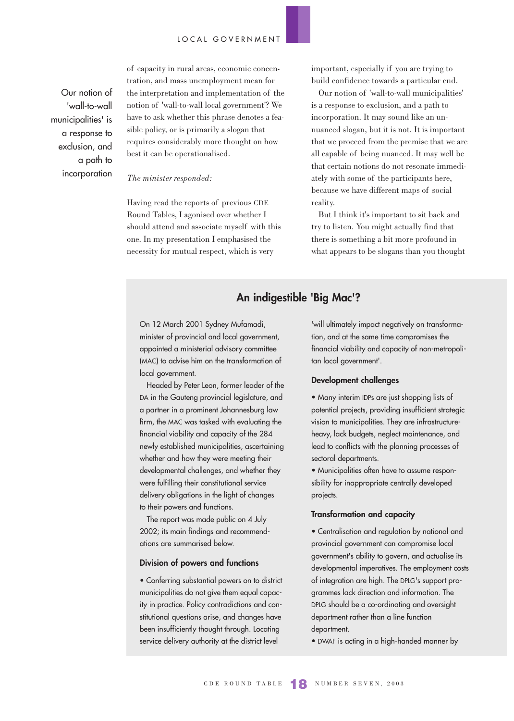Our notion of 'wall-to-wall municipalities' is a response to exclusion, and a path to incorporation of capacity in rural areas, economic concentration, and mass unemployment mean for the interpretation and implementation of the notion of 'wall-to-wall local government'? We have to ask whether this phrase denotes a feasible policy, or is primarily a slogan that requires considerably more thought on how best it can be operationalised.

#### *The minister responded:*

Having read the reports of previous CDE Round Tables, I agonised over whether I should attend and associate myself with this one. In my presentation I emphasised the necessity for mutual respect, which is very

important, especially if you are trying to build confidence towards a particular end.

Our notion of 'wall-to-wall municipalities' is a response to exclusion, and a path to incorporation. It may sound like an unnuanced slogan, but it is not. It is important that we proceed from the premise that we are all capable of being nuanced. It may well be that certain notions do not resonate immediately with some of the participants here, because we have different maps of social reality.

But I think it's important to sit back and try to listen. You might actually find that there is something a bit more profound in what appears to be slogans than you thought

### **An indigestible 'Big Mac'?**

On 12 March 2001 Sydney Mufamadi, minister of provincial and local government, appointed a ministerial advisory committee (MAC) to advise him on the transformation of local government.

Headed by Peter Leon, former leader of the DA in the Gauteng provincial legislature, and a partner in a prominent Johannesburg law firm, the MAC was tasked with evaluating the financial viability and capacity of the 284 newly established municipalities, ascertaining whether and how they were meeting their developmental challenges, and whether they were fulfilling their constitutional service delivery obligations in the light of changes to their powers and functions.

The report was made public on 4 July 2002; its main findings and recommendations are summarised below.

### **Division of powers and functions**

• Conferring substantial powers on to district municipalities do not give them equal capacity in practice. Policy contradictions and constitutional questions arise, and changes have been insufficiently thought through. Locating service delivery authority at the district level

'will ultimately impact negatively on transformation, and at the same time compromises the financial viability and capacity of non-metropolitan local government'.

### **Development challenges**

• Many interim IDPs are just shopping lists of potential projects, providing insufficient strategic vision to municipalities. They are infrastructureheavy, lack budgets, neglect maintenance, and lead to conflicts with the planning processes of sectoral departments.

• Municipalities often have to assume responsibility for inappropriate centrally developed projects.

### **Transformation and capacity**

• Centralisation and regulation by national and provincial government can compromise local government's ability to govern, and actualise its developmental imperatives. The employment costs of integration are high. The DPLG's support programmes lack direction and information. The DPLG should be a co-ordinating and oversight department rather than a line function department.

• DWAF is acting in a high-handed manner by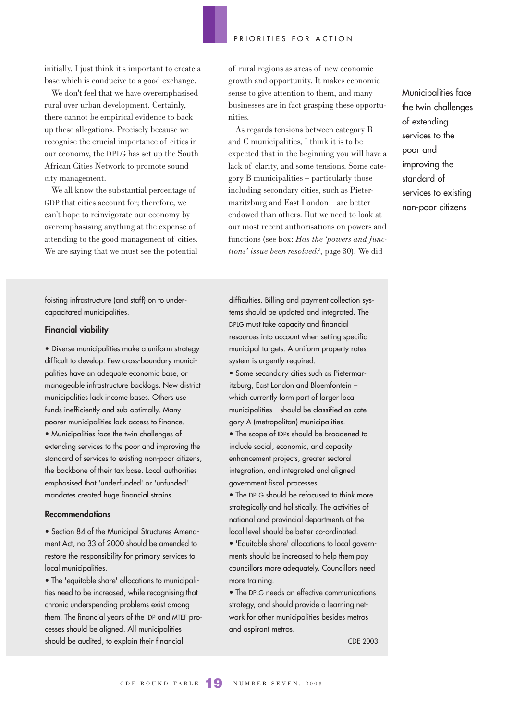initially. I just think it's important to create a base which is conducive to a good exchange.

We don't feel that we have overemphasised rural over urban development. Certainly, there cannot be empirical evidence to back up these allegations. Precisely because we recognise the crucial importance of cities in our economy, the DPLG has set up the South African Cities Network to promote sound city management.

We all know the substantial percentage of GDP that cities account for; therefore, we can't hope to reinvigorate our economy by overemphasising anything at the expense of attending to the good management of cities. We are saying that we must see the potential of rural regions as areas of new economic growth and opportunity. It makes economic sense to give attention to them, and many businesses are in fact grasping these opportunities.

As regards tensions between category B and C municipalities, I think it is to be expected that in the beginning you will have a lack of clarity, and some tensions. Some category B municipalities – particularly those including secondary cities, such as Pietermaritzburg and East London – are better endowed than others. But we need to look at our most recent authorisations on powers and functions (see box: *Has the 'powers and functions' issue been resolved?*, page 30). We did

Municipalities face the twin challenges of extending services to the poor and improving the standard of services to existing non-poor citizens

foisting infrastructure (and staff) on to undercapacitated municipalities.

### **Financial viability**

• Diverse municipalities make a uniform strategy difficult to develop. Few cross-boundary municipalities have an adequate economic base, or manageable infrastructure backlogs. New district municipalities lack income bases. Others use funds inefficiently and sub-optimally. Many poorer municipalities lack access to finance. • Municipalities face the twin challenges of extending services to the poor and improving the standard of services to existing non-poor citizens, the backbone of their tax base. Local authorities emphasised that 'underfunded' or 'unfunded' mandates created huge financial strains.

#### **Recommendations**

• Section 84 of the Municipal Structures Amendment Act, no 33 of 2000 should be amended to restore the responsibility for primary services to local municipalities.

• The 'equitable share' allocations to municipalities need to be increased, while recognising that chronic underspending problems exist among them. The financial years of the IDP and MTEF processes should be aligned. All municipalities should be audited, to explain their financial

difficulties. Billing and payment collection systems should be updated and integrated. The DPLG must take capacity and financial resources into account when setting specific municipal targets. A uniform property rates system is urgently required.

• Some secondary cities such as Pietermaritzburg, East London and Bloemfontein – which currently form part of larger local municipalities – should be classified as category A (metropolitan) municipalities. • The scope of IDPs should be broadened to include social, economic, and capacity enhancement projects, greater sectoral integration, and integrated and aligned government fiscal processes.

• The DPLG should be refocused to think more strategically and holistically. The activities of national and provincial departments at the local level should be better co-ordinated.

• 'Equitable share' allocations to local governments should be increased to help them pay councillors more adequately. Councillors need more training.

• The DPLG needs an effective communications strategy, and should provide a learning network for other municipalities besides metros and aspirant metros.

CDE 2003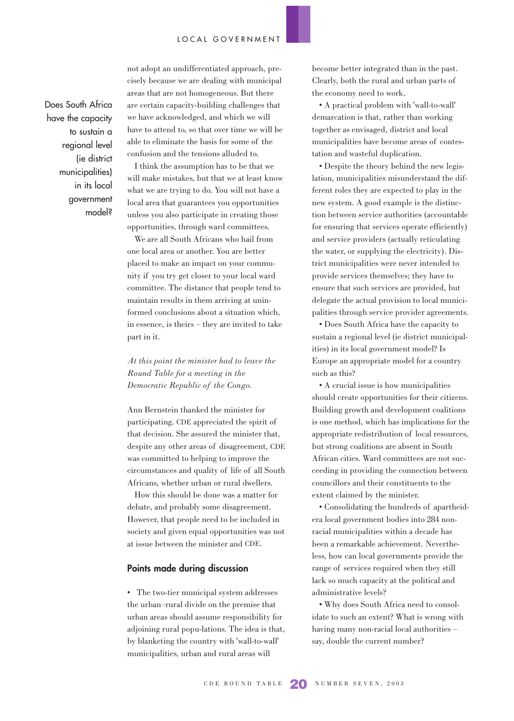Does South Africa have the capacity to sustain a regional level (ie district municipalities) in its local government model?

not adopt an undifferentiated approach, precisely because we are dealing with municipal areas that are not homogeneous. But there are certain capacity-building challenges that we have acknowledged, and which we will have to attend to, so that over time we will be able to eliminate the basis for some of the confusion and the tensions alluded to.

I think the assumption has to be that we will make mistakes, but that we at least know what we are trying to do. You will not have a local area that guarantees you opportunities unless you also participate in creating those opportunities, through ward committees.

We are all South Africans who hail from one local area or another. You are better placed to make an impact on your community if you try get closer to your local ward committee. The distance that people tend to maintain results in them arriving at uninformed conclusions about a situation which, in essence, is theirs – they are invited to take part in it.

*At this point the minister had to leave the Round Table for a meeting in the Democratic Republic of the Congo.*

Ann Bernstein thanked the minister for participating. CDE appreciated the spirit of that decision. She assured the minister that, despite any other areas of disagreement, CDE was committed to helping to improve the circumstances and quality of life of all South Africans, whether urban or rural dwellers.

How this should be done was a matter for debate, and probably some disagreement. However, that people need to be included in society and given equal opportunities was not at issue between the minister and CDE.

### **Points made during discussion**

• The two-tier municipal system addresses the urban–rural divide on the premise that urban areas should assume responsibility for adjoining rural popu-lations. The idea is that, by blanketing the country with 'wall-to-wall' municipalities, urban and rural areas will

become better integrated than in the past. Clearly, both the rural and urban parts of the economy need to work.

• A practical problem with 'wall-to-wall' demarcation is that, rather than working together as envisaged, district and local municipalities have become areas of contestation and wasteful duplication.

• Despite the theory behind the new legislation, municipalities misunderstand the different roles they are expected to play in the new system. A good example is the distinction between service authorities (accountable for ensuring that services operate efficiently) and service providers (actually reticulating the water, or supplying the electricity). District municipalities were never intended to provide services themselves; they have to ensure that such services are provided, but delegate the actual provision to local municipalities through service provider agreements.

• Does South Africa have the capacity to sustain a regional level (ie district municipalities) in its local government model? Is Europe an appropriate model for a country such as this?

• A crucial issue is how municipalities should create opportunities for their citizens. Building growth and development coalitions is one method, which has implications for the appropriate redistribution of local resources, but strong coalitions are absent in South African cities. Ward committees are not succeeding in providing the connection between councillors and their constituents to the extent claimed by the minister.

• Consolidating the hundreds of apartheidera local government bodies into 284 nonracial municipalities within a decade has been a remarkable achievement. Nevertheless, how can local governments provide the range of services required when they still lack so much capacity at the political and administrative levels?

• Why does South Africa need to consolidate to such an extent? What is wrong with having many non-racial local authorities – say, double the current number?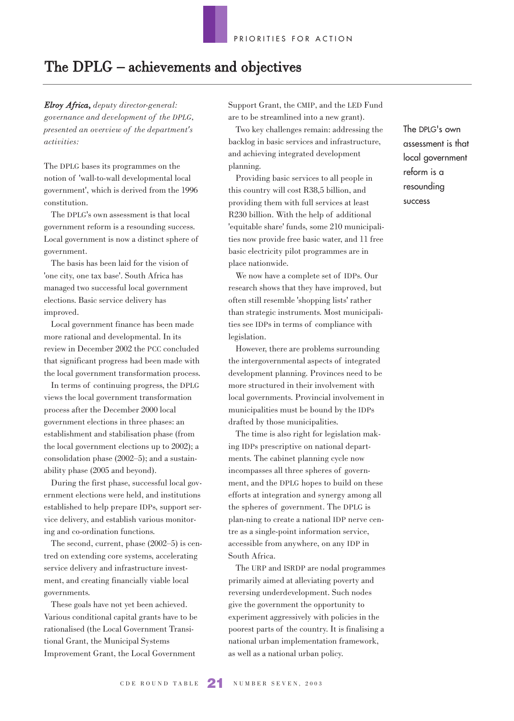# The DPLG – achievements and objectives

*Elroy Africa, deputy director-general: governance and development of the DPLG, presented an overview of the department's activities:*

The DPLG bases its programmes on the notion of 'wall-to-wall developmental local government', which is derived from the 1996 constitution.

The DPLG's own assessment is that local government reform is a resounding success. Local government is now a distinct sphere of government.

The basis has been laid for the vision of 'one city, one tax base'. South Africa has managed two successful local government elections. Basic service delivery has improved.

Local government finance has been made more rational and developmental. In its review in December 2002 the PCC concluded that significant progress had been made with the local government transformation process.

In terms of continuing progress, the DPLG views the local government transformation process after the December 2000 local government elections in three phases: an establishment and stabilisation phase (from the local government elections up to 2002); a consolidation phase (2002–5); and a sustainability phase (2005 and beyond).

During the first phase, successful local government elections were held, and institutions established to help prepare IDPs, support service delivery, and establish various monitoring and co-ordination functions.

The second, current, phase (2002–5) is centred on extending core systems, accelerating service delivery and infrastructure investment, and creating financially viable local governments.

These goals have not yet been achieved. Various conditional capital grants have to be rationalised (the Local Government Transitional Grant, the Municipal Systems Improvement Grant, the Local Government

Support Grant, the CMIP, and the LED Fund are to be streamlined into a new grant).

Two key challenges remain: addressing the backlog in basic services and infrastructure, and achieving integrated development planning.

Providing basic services to all people in this country will cost R38,5 billion, and providing them with full services at least R230 billion. With the help of additional 'equitable share' funds, some 210 municipalities now provide free basic water, and 11 free basic electricity pilot programmes are in place nationwide.

We now have a complete set of IDPs. Our research shows that they have improved, but often still resemble 'shopping lists' rather than strategic instruments. Most municipalities see IDPs in terms of compliance with legislation.

However, there are problems surrounding the intergovernmental aspects of integrated development planning. Provinces need to be more structured in their involvement with local governments. Provincial involvement in municipalities must be bound by the IDPs drafted by those municipalities.

The time is also right for legislation making IDPs prescriptive on national departments. The cabinet planning cycle now incompasses all three spheres of government, and the DPLG hopes to build on these efforts at integration and synergy among all the spheres of government. The DPLG is plan-ning to create a national IDP nerve centre as a single-point information service, accessible from anywhere, on any IDP in South Africa.

The URP and ISRDP are nodal programmes primarily aimed at alleviating poverty and reversing underdevelopment. Such nodes give the government the opportunity to experiment aggressively with policies in the poorest parts of the country. It is finalising a national urban implementation framework, as well as a national urban policy.

The DPLG's own assessment is that local government reform is a resounding success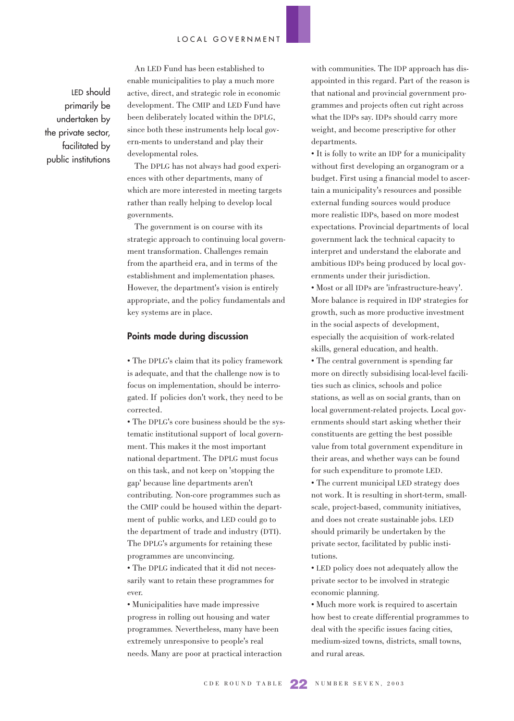LED should primarily be undertaken by the private sector, facilitated by public institutions

An LED Fund has been established to enable municipalities to play a much more active, direct, and strategic role in economic development. The CMIP and LED Fund have been deliberately located within the DPLG, since both these instruments help local govern-ments to understand and play their developmental roles.

The DPLG has not always had good experiences with other departments, many of which are more interested in meeting targets rather than really helping to develop local governments.

The government is on course with its strategic approach to continuing local government transformation. Challenges remain from the apartheid era, and in terms of the establishment and implementation phases. However, the department's vision is entirely appropriate, and the policy fundamentals and key systems are in place.

#### **Points made during discussion**

• The DPLG's claim that its policy framework is adequate, and that the challenge now is to focus on implementation, should be interrogated. If policies don't work, they need to be corrected.

• The DPLG's core business should be the systematic institutional support of local government. This makes it the most important national department. The DPLG must focus on this task, and not keep on 'stopping the gap' because line departments aren't contributing. Non-core programmes such as the CMIP could be housed within the department of public works, and LED could go to the department of trade and industry (DTI). The DPLG's arguments for retaining these programmes are unconvincing.

• The DPLG indicated that it did not necessarily want to retain these programmes for ever.

• Municipalities have made impressive progress in rolling out housing and water programmes. Nevertheless, many have been extremely unresponsive to people's real needs. Many are poor at practical interaction

with communities. The IDP approach has disappointed in this regard. Part of the reason is that national and provincial government programmes and projects often cut right across what the IDPs say. IDPs should carry more weight, and become prescriptive for other departments.

• It is folly to write an IDP for a municipality without first developing an organogram or a budget. First using a financial model to ascertain a municipality's resources and possible external funding sources would produce more realistic IDPs, based on more modest expectations. Provincial departments of local government lack the technical capacity to interpret and understand the elaborate and ambitious IDPs being produced by local governments under their jurisdiction.

• Most or all IDPs are 'infrastructure-heavy'. More balance is required in IDP strategies for growth, such as more productive investment in the social aspects of development, especially the acquisition of work-related skills, general education, and health. • The central government is spending far more on directly subsidising local-level facilities such as clinics, schools and police stations, as well as on social grants, than on local government-related projects. Local governments should start asking whether their constituents are getting the best possible value from total government expenditure in their areas, and whether ways can be found for such expenditure to promote LED.

• The current municipal LED strategy does not work. It is resulting in short-term, smallscale, project-based, community initiatives, and does not create sustainable jobs. LED should primarily be undertaken by the private sector, facilitated by public institutions.

• LED policy does not adequately allow the private sector to be involved in strategic economic planning.

• Much more work is required to ascertain how best to create differential programmes to deal with the specific issues facing cities, medium-sized towns, districts, small towns, and rural areas.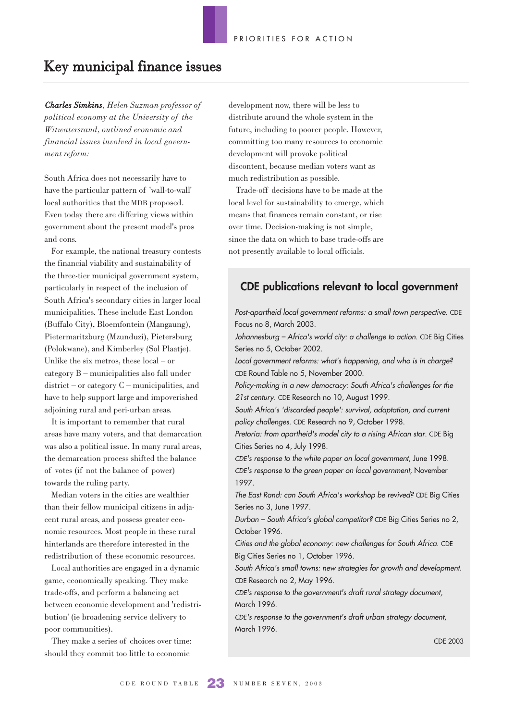# Key municipal finance issues

*Charles Simkins, Helen Suzman professor of political economy at the University of the Witwatersrand, outlined economic and financial issues involved in local government reform:* 

South Africa does not necessarily have to have the particular pattern of 'wall-to-wall' local authorities that the MDB proposed. Even today there are differing views within government about the present model's pros and cons.

For example, the national treasury contests the financial viability and sustainability of the three-tier municipal government system, particularly in respect of the inclusion of South Africa's secondary cities in larger local municipalities. These include East London (Buffalo City), Bloemfontein (Mangaung), Pietermaritzburg (Mzunduzi), Pietersburg (Polokwane), and Kimberley (Sol Plaatje). Unlike the six metros, these local – or category B – municipalities also fall under district – or category C – municipalities, and have to help support large and impoverished adjoining rural and peri-urban areas.

It is important to remember that rural areas have many voters, and that demarcation was also a political issue. In many rural areas, the demarcation process shifted the balance of votes (if not the balance of power) towards the ruling party.

Median voters in the cities are wealthier than their fellow municipal citizens in adjacent rural areas, and possess greater economic resources. Most people in these rural hinterlands are therefore interested in the redistribution of these economic resources.

Local authorities are engaged in a dynamic game, economically speaking. They make trade-offs, and perform a balancing act between economic development and 'redistribution' (ie broadening service delivery to poor communities).

They make a series of choices over time: should they commit too little to economic

development now, there will be less to distribute around the whole system in the future, including to poorer people. However, committing too many resources to economic development will provoke political discontent, because median voters want as much redistribution as possible.

Trade-off decisions have to be made at the local level for sustainability to emerge, which means that finances remain constant, or rise over time. Decision-making is not simple, since the data on which to base trade-offs are not presently available to local officials.

### **CDE publications relevant to local government**

Post-apartheid local government reforms: a small town perspective. CDE Focus no 8, March 2003.

Johannesburg – Africa's world city: a challenge to action. CDE Big Cities Series no 5, October 2002.

Local government reforms: what's happening, and who is in charge? CDE Round Table no 5, November 2000.

Policy-making in a new democracy: South Africa's challenges for the 21st century. CDE Research no 10, August 1999.

South Africa's 'discarded people': survival, adaptation, and current policy challenges. CDE Research no 9, October 1998.

Pretoria: from apartheid's model city to a rising African star. CDE Big Cities Series no 4, July 1998.

CDE's response to the white paper on local government, June 1998. CDE's response to the green paper on local government, November 1997.

The East Rand: can South Africa's workshop be revived? CDE Big Cities Series no 3, June 1997.

Durban – South Africa's global competitor? CDE Big Cities Series no 2, October 1996.

Cities and the global economy: new challenges for South Africa. CDE Big Cities Series no 1, October 1996.

South Africa's small towns: new strategies for growth and development. CDE Research no 2, May 1996.

CDE's response to the government's draft rural strategy document, March 1996.

CDE's response to the government's draft urban strategy document, March 1996.

CDE 2003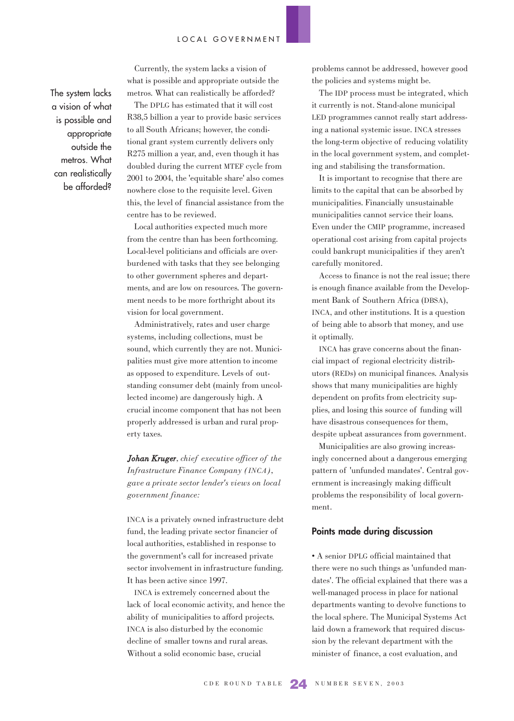The system lacks a vision of what is possible and appropriate outside the metros. What can realistically be afforded?

Currently, the system lacks a vision of what is possible and appropriate outside the metros. What can realistically be afforded?

The DPLG has estimated that it will cost R38,5 billion a year to provide basic services to all South Africans; however, the conditional grant system currently delivers only R275 million a year, and, even though it has doubled during the current MTEF cycle from 2001 to 2004, the 'equitable share' also comes nowhere close to the requisite level. Given this, the level of financial assistance from the centre has to be reviewed.

Local authorities expected much more from the centre than has been forthcoming. Local-level politicians and officials are overburdened with tasks that they see belonging to other government spheres and departments, and are low on resources. The government needs to be more forthright about its vision for local government.

Administratively, rates and user charge systems, including collections, must be sound, which currently they are not. Municipalities must give more attention to income as opposed to expenditure. Levels of outstanding consumer debt (mainly from uncollected income) are dangerously high. A crucial income component that has not been properly addressed is urban and rural property taxes.

*Johan Kruger, chief executive officer of the Infrastructure Finance Company (INCA), gave a private sector lender's views on local government finance:*

INCA is a privately owned infrastructure debt fund, the leading private sector financier of local authorities, established in response to the government's call for increased private sector involvement in infrastructure funding. It has been active since 1997.

INCA is extremely concerned about the lack of local economic activity, and hence the ability of municipalities to afford projects. INCA is also disturbed by the economic decline of smaller towns and rural areas. Without a solid economic base, crucial

problems cannot be addressed, however good the policies and systems might be.

The IDP process must be integrated, which it currently is not. Stand-alone municipal LED programmes cannot really start addressing a national systemic issue. INCA stresses the long-term objective of reducing volatility in the local government system, and completing and stabilising the transformation.

It is important to recognise that there are limits to the capital that can be absorbed by municipalities. Financially unsustainable municipalities cannot service their loans. Even under the CMIP programme, increased operational cost arising from capital projects could bankrupt municipalities if they aren't carefully monitored.

Access to finance is not the real issue; there is enough finance available from the Development Bank of Southern Africa (DBSA), INCA, and other institutions. It is a question of being able to absorb that money, and use it optimally.

INCA has grave concerns about the financial impact of regional electricity distributors (REDs) on municipal finances. Analysis shows that many municipalities are highly dependent on profits from electricity supplies, and losing this source of funding will have disastrous consequences for them, despite upbeat assurances from government.

Municipalities are also growing increasingly concerned about a dangerous emerging pattern of 'unfunded mandates'. Central government is increasingly making difficult problems the responsibility of local government.

#### **Points made during discussion**

• A senior DPLG official maintained that there were no such things as 'unfunded mandates'. The official explained that there was a well-managed process in place for national departments wanting to devolve functions to the local sphere. The Municipal Systems Act laid down a framework that required discussion by the relevant department with the minister of finance, a cost evaluation, and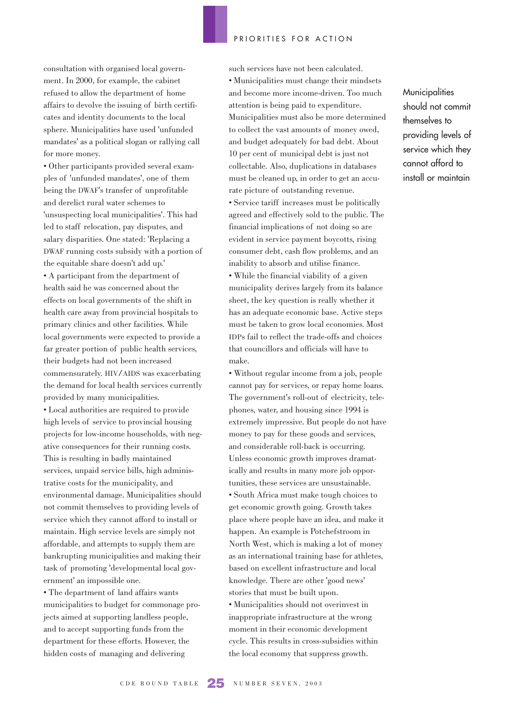consultation with organised local government. In 2000, for example, the cabinet refused to allow the department of home affairs to devolve the issuing of birth certificates and identity documents to the local sphere. Municipalities have used 'unfunded mandates' as a political slogan or rallying call for more money.

• Other participants provided several examples of 'unfunded mandates', one of them being the DWAF's transfer of unprofitable and derelict rural water schemes to 'unsuspecting local municipalities'. This had led to staff relocation, pay disputes, and salary disparities. One stated: 'Replacing a DWAF running costs subsidy with a portion of the equitable share doesn't add up.'

• A participant from the department of health said he was concerned about the effects on local governments of the shift in health care away from provincial hospitals to primary clinics and other facilities. While local governments were expected to provide a far greater portion of public health services, their budgets had not been increased commensurately. HIV/AIDS was exacerbating the demand for local health services currently provided by many municipalities.

• Local authorities are required to provide high levels of service to provincial housing projects for low-income households, with negative consequences for their running costs. This is resulting in badly maintained services, unpaid service bills, high administrative costs for the municipality, and environmental damage. Municipalities should not commit themselves to providing levels of service which they cannot afford to install or maintain. High service levels are simply not affordable, and attempts to supply them are bankrupting municipalities and making their task of promoting 'developmental local government' an impossible one.

• The department of land affairs wants municipalities to budget for commonage projects aimed at supporting landless people, and to accept supporting funds from the department for these efforts. However, the hidden costs of managing and delivering

such services have not been calculated. • Municipalities must change their mindsets and become more income-driven. Too much attention is being paid to expenditure. Municipalities must also be more determined to collect the vast amounts of money owed, and budget adequately for bad debt. About 10 per cent of municipal debt is just not collectable. Also, duplications in databases must be cleaned up, in order to get an accurate picture of outstanding revenue.

• Service tariff increases must be politically agreed and effectively sold to the public. The financial implications of not doing so are evident in service payment boycotts, rising consumer debt, cash flow problems, and an inability to absorb and utilise finance.

• While the financial viability of a given municipality derives largely from its balance sheet, the key question is really whether it has an adequate economic base. Active steps must be taken to grow local economies. Most IDPs fail to reflect the trade-offs and choices that councillors and officials will have to make.

• Without regular income from a job, people cannot pay for services, or repay home loans. The government's roll-out of electricity, telephones, water, and housing since 1994 is extremely impressive. But people do not have money to pay for these goods and services, and considerable roll-back is occurring. Unless economic growth improves dramatically and results in many more job opportunities, these services are unsustainable. • South Africa must make tough choices to get economic growth going. Growth takes place where people have an idea, and make it happen. An example is Potchefstroom in North West, which is making a lot of money as an international training base for athletes, based on excellent infrastructure and local knowledge. There are other 'good news' stories that must be built upon.

• Municipalities should not overinvest in inappropriate infrastructure at the wrong moment in their economic development cycle. This results in cross-subsidies within the local economy that suppress growth.

**Municipalities** should not commit themselves to providing levels of service which they cannot afford to install or maintain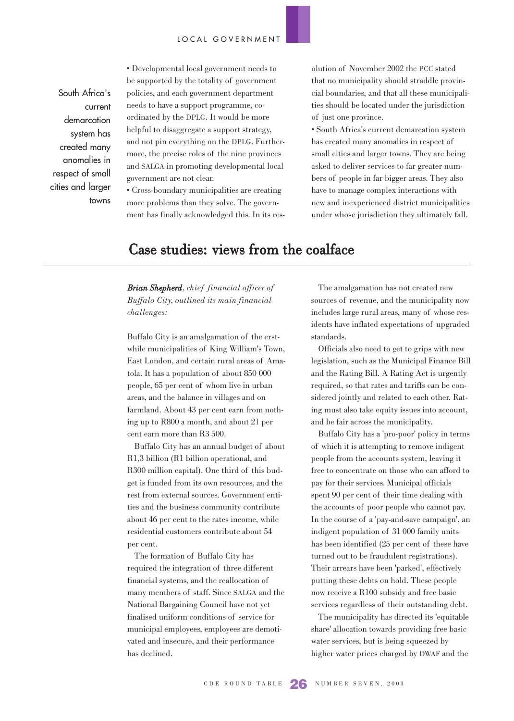South Africa's current demarcation system has created many anomalies in respect of small cities and larger towns • Developmental local government needs to be supported by the totality of government policies, and each government department needs to have a support programme, coordinated by the DPLG. It would be more helpful to disaggregate a support strategy, and not pin everything on the DPLG. Furthermore, the precise roles of the nine provinces and SALGA in promoting developmental local government are not clear.

• Cross-boundary municipalities are creating more problems than they solve. The government has finally acknowledged this. In its resolution of November 2002 the PCC stated that no municipality should straddle provincial boundaries, and that all these municipalities should be located under the jurisdiction of just one province.

• South Africa's current demarcation system has created many anomalies in respect of small cities and larger towns. They are being asked to deliver services to far greater numbers of people in far bigger areas. They also have to manage complex interactions with new and inexperienced district municipalities under whose jurisdiction they ultimately fall.

# Case studies: views from the coalface

*Brian Shepherd, chief financial officer of Buffalo City, outlined its main financial challenges:* 

Buffalo City is an amalgamation of the erstwhile municipalities of King William's Town, East London, and certain rural areas of Amatola. It has a population of about 850 000 people, 65 per cent of whom live in urban areas, and the balance in villages and on farmland. About 43 per cent earn from nothing up to R800 a month, and about 21 per cent earn more than R3 500.

Buffalo City has an annual budget of about R1,3 billion (R1 billion operational, and R300 million capital). One third of this budget is funded from its own resources, and the rest from external sources. Government entities and the business community contribute about 46 per cent to the rates income, while residential customers contribute about 54 per cent.

The formation of Buffalo City has required the integration of three different financial systems, and the reallocation of many members of staff. Since SALGA and the National Bargaining Council have not yet finalised uniform conditions of service for municipal employees, employees are demotivated and insecure, and their performance has declined.

The amalgamation has not created new sources of revenue, and the municipality now includes large rural areas, many of whose residents have inflated expectations of upgraded standards.

Officials also need to get to grips with new legislation, such as the Municipal Finance Bill and the Rating Bill. A Rating Act is urgently required, so that rates and tariffs can be considered jointly and related to each other. Rating must also take equity issues into account, and be fair across the municipality.

Buffalo City has a 'pro-poor' policy in terms of which it is attempting to remove indigent people from the accounts system, leaving it free to concentrate on those who can afford to pay for their services. Municipal officials spent 90 per cent of their time dealing with the accounts of poor people who cannot pay. In the course of a 'pay-and-save campaign', an indigent population of 31 000 family units has been identified (25 per cent of these have turned out to be fraudulent registrations). Their arrears have been 'parked', effectively putting these debts on hold. These people now receive a R100 subsidy and free basic services regardless of their outstanding debt.

The municipality has directed its 'equitable share' allocation towards providing free basic water services, but is being squeezed by higher water prices charged by DWAF and the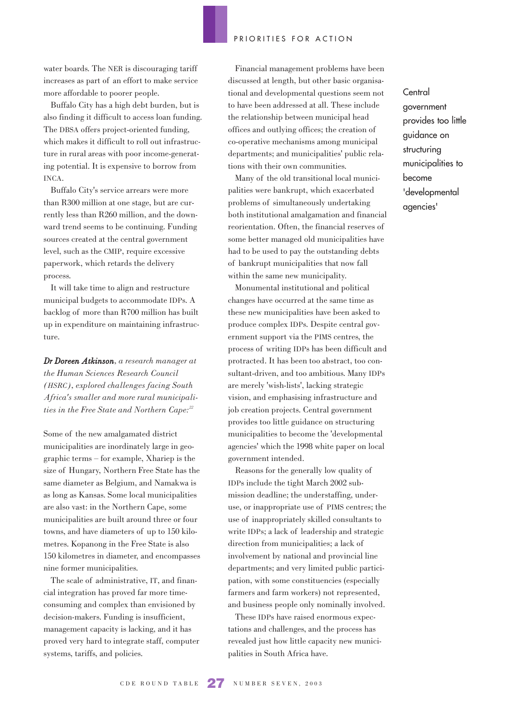water boards. The NER is discouraging tariff increases as part of an effort to make service more affordable to poorer people.

Buffalo City has a high debt burden, but is also finding it difficult to access loan funding. The DBSA offers project-oriented funding, which makes it difficult to roll out infrastructure in rural areas with poor income-generating potential. It is expensive to borrow from INCA.

Buffalo City's service arrears were more than R300 million at one stage, but are currently less than R260 million, and the downward trend seems to be continuing. Funding sources created at the central government level, such as the CMIP, require excessive paperwork, which retards the delivery process.

It will take time to align and restructure municipal budgets to accommodate IDPs. A backlog of more than R700 million has built up in expenditure on maintaining infrastructure.

*Dr Doreen Atkinson, a research manager at the Human Sciences Research Council (HSRC), explored challenges facing South Africa's smaller and more rural municipalities in the Free State and Northern Cape:22*

Some of the new amalgamated district municipalities are inordinately large in geographic terms – for example, Xhariep is the size of Hungary, Northern Free State has the same diameter as Belgium, and Namakwa is as long as Kansas. Some local municipalities are also vast: in the Northern Cape, some municipalities are built around three or four towns, and have diameters of up to 150 kilometres. Kopanong in the Free State is also 150 kilometres in diameter, and encompasses nine former municipalities.

The scale of administrative, IT, and financial integration has proved far more timeconsuming and complex than envisioned by decision-makers. Funding is insufficient, management capacity is lacking, and it has proved very hard to integrate staff, computer systems, tariffs, and policies.

Financial management problems have been discussed at length, but other basic organisational and developmental questions seem not to have been addressed at all. These include the relationship between municipal head offices and outlying offices; the creation of co-operative mechanisms among municipal departments; and municipalities' public relations with their own communities.

Many of the old transitional local municipalities were bankrupt, which exacerbated problems of simultaneously undertaking both institutional amalgamation and financial reorientation. Often, the financial reserves of some better managed old municipalities have had to be used to pay the outstanding debts of bankrupt municipalities that now fall within the same new municipality.

Monumental institutional and political changes have occurred at the same time as these new municipalities have been asked to produce complex IDPs. Despite central government support via the PIMS centres, the process of writing IDPs has been difficult and protracted. It has been too abstract, too consultant-driven, and too ambitious. Many IDPs are merely 'wish-lists', lacking strategic vision, and emphasising infrastructure and job creation projects. Central government provides too little guidance on structuring municipalities to become the 'developmental agencies' which the 1998 white paper on local government intended.

Reasons for the generally low quality of IDPs include the tight March 2002 submission deadline; the understaffing, underuse, or inappropriate use of PIMS centres; the use of inappropriately skilled consultants to write IDPs; a lack of leadership and strategic direction from municipalities; a lack of involvement by national and provincial line departments; and very limited public participation, with some constituencies (especially farmers and farm workers) not represented, and business people only nominally involved.

These IDPs have raised enormous expectations and challenges, and the process has revealed just how little capacity new municipalities in South Africa have.

**Central** government provides too little guidance on structuring municipalities to become 'developmental agencies'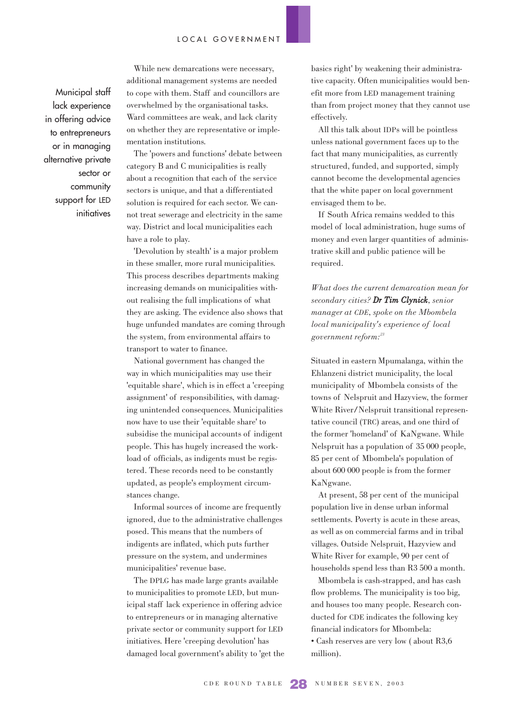Municipal staff lack experience in offering advice to entrepreneurs or in managing alternative private sector or community support for LED initiatives

While new demarcations were necessary, additional management systems are needed to cope with them. Staff and councillors are overwhelmed by the organisational tasks. Ward committees are weak, and lack clarity on whether they are representative or implementation institutions.

The 'powers and functions' debate between category B and C municipalities is really about a recognition that each of the service sectors is unique, and that a differentiated solution is required for each sector. We cannot treat sewerage and electricity in the same way. District and local municipalities each have a role to play.

'Devolution by stealth' is a major problem in these smaller, more rural municipalities. This process describes departments making increasing demands on municipalities without realising the full implications of what they are asking. The evidence also shows that huge unfunded mandates are coming through the system, from environmental affairs to transport to water to finance.

National government has changed the way in which municipalities may use their 'equitable share', which is in effect a 'creeping assignment' of responsibilities, with damaging unintended consequences. Municipalities now have to use their 'equitable share' to subsidise the municipal accounts of indigent people. This has hugely increased the workload of officials, as indigents must be registered. These records need to be constantly updated, as people's employment circumstances change.

Informal sources of income are frequently ignored, due to the administrative challenges posed. This means that the numbers of indigents are inflated, which puts further pressure on the system, and undermines municipalities' revenue base.

The DPLG has made large grants available to municipalities to promote LED, but municipal staff lack experience in offering advice to entrepreneurs or in managing alternative private sector or community support for LED initiatives. Here 'creeping devolution' has damaged local government's ability to 'get the basics right' by weakening their administrative capacity. Often municipalities would benefit more from LED management training than from project money that they cannot use effectively.

All this talk about IDPs will be pointless unless national government faces up to the fact that many municipalities, as currently structured, funded, and supported, simply cannot become the developmental agencies that the white paper on local government envisaged them to be.

If South Africa remains wedded to this model of local administration, huge sums of money and even larger quantities of administrative skill and public patience will be required.

*What does the current demarcation mean for secondary cities? Dr Tim Clynick, senior manager at CDE, spoke on the Mbombela local municipality's experience of local government reform:23*

Situated in eastern Mpumalanga, within the Ehlanzeni district municipality, the local municipality of Mbombela consists of the towns of Nelspruit and Hazyview, the former White River/Nelspruit transitional representative council (TRC) areas, and one third of the former 'homeland' of KaNgwane. While Nelspruit has a population of 35 000 people, 85 per cent of Mbombela's population of about 600 000 people is from the former KaNgwane.

At present, 58 per cent of the municipal population live in dense urban informal settlements. Poverty is acute in these areas, as well as on commercial farms and in tribal villages. Outside Nelspruit, Hazyview and White River for example, 90 per cent of households spend less than R3 500 a month.

Mbombela is cash-strapped, and has cash flow problems. The municipality is too big, and houses too many people. Research conducted for CDE indicates the following key financial indicators for Mbombela: • Cash reserves are very low ( about R3,6 million).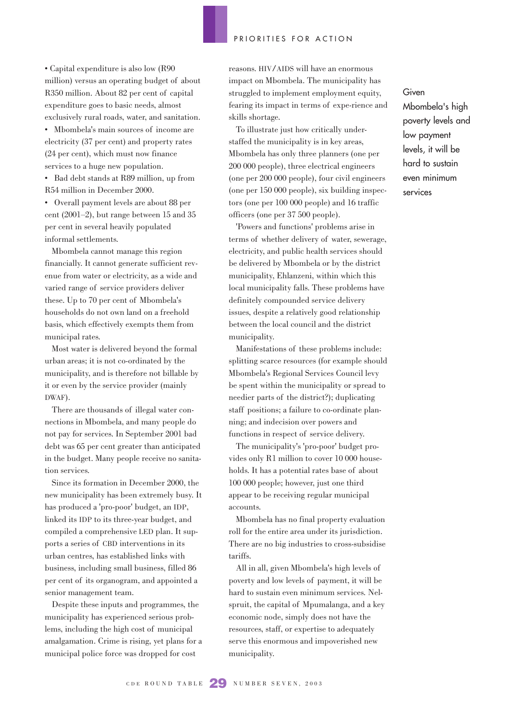• Capital expenditure is also low (R90 million) versus an operating budget of about R350 million. About 82 per cent of capital expenditure goes to basic needs, almost exclusively rural roads, water, and sanitation.

• Mbombela's main sources of income are electricity (37 per cent) and property rates (24 per cent), which must now finance services to a huge new population.

• Bad debt stands at R89 million, up from R54 million in December 2000.

• Overall payment levels are about 88 per cent (2001–2), but range between 15 and 35 per cent in several heavily populated informal settlements.

Mbombela cannot manage this region financially. It cannot generate sufficient revenue from water or electricity, as a wide and varied range of service providers deliver these. Up to 70 per cent of Mbombela's households do not own land on a freehold basis, which effectively exempts them from municipal rates.

Most water is delivered beyond the formal urban areas; it is not co-ordinated by the municipality, and is therefore not billable by it or even by the service provider (mainly DWAF).

There are thousands of illegal water connections in Mbombela, and many people do not pay for services. In September 2001 bad debt was 65 per cent greater than anticipated in the budget. Many people receive no sanitation services.

Since its formation in December 2000, the new municipality has been extremely busy. It has produced a 'pro-poor' budget, an IDP, linked its IDP to its three-year budget, and compiled a comprehensive LED plan. It supports a series of CBD interventions in its urban centres, has established links with business, including small business, filled 86 per cent of its organogram, and appointed a senior management team.

Despite these inputs and programmes, the municipality has experienced serious problems, including the high cost of municipal amalgamation. Crime is rising, yet plans for a municipal police force was dropped for cost

reasons. HIV/AIDS will have an enormous impact on Mbombela. The municipality has struggled to implement employment equity, fearing its impact in terms of expe-rience and skills shortage.

To illustrate just how critically understaffed the municipality is in key areas, Mbombela has only three planners (one per 200 000 people), three electrical engineers (one per 200 000 people), four civil engineers (one per 150 000 people), six building inspectors (one per 100 000 people) and 16 traffic officers (one per 37 500 people).

'Powers and functions' problems arise in terms of whether delivery of water, sewerage, electricity, and public health services should be delivered by Mbombela or by the district municipality, Ehlanzeni, within which this local municipality falls. These problems have definitely compounded service delivery issues, despite a relatively good relationship between the local council and the district municipality.

Manifestations of these problems include: splitting scarce resources (for example should Mbombela's Regional Services Council levy be spent within the municipality or spread to needier parts of the district?); duplicating staff positions; a failure to co-ordinate planning; and indecision over powers and functions in respect of service delivery.

The municipality's 'pro-poor' budget provides only R1 million to cover 10 000 households. It has a potential rates base of about 100 000 people; however, just one third appear to be receiving regular municipal accounts.

Mbombela has no final property evaluation roll for the entire area under its jurisdiction. There are no big industries to cross-subsidise tariffs.

All in all, given Mbombela's high levels of poverty and low levels of payment, it will be hard to sustain even minimum services. Nelspruit, the capital of Mpumalanga, and a key economic node, simply does not have the resources, staff, or expertise to adequately serve this enormous and impoverished new municipality.

Given Mbombela's high poverty levels and low payment levels, it will be hard to sustain even minimum services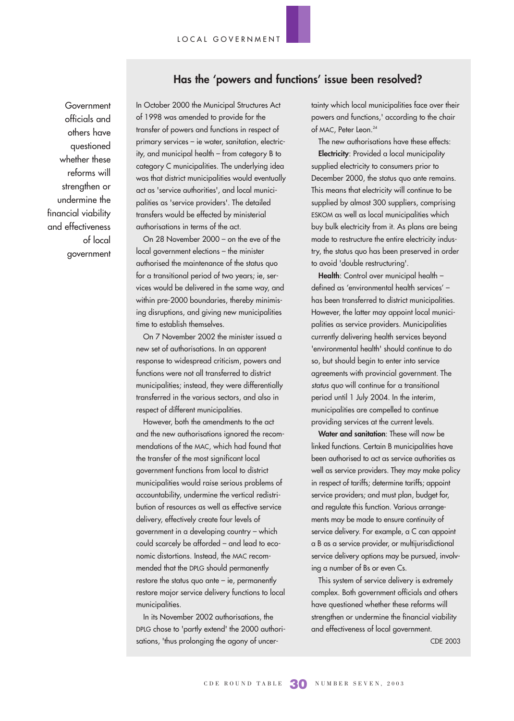### **Has the 'powers and functions' issue been resolved?**

**Government** officials and others have questioned whether these reforms will strengthen or undermine the financial viability and effectiveness of local government

In October 2000 the Municipal Structures Act of 1998 was amended to provide for the transfer of powers and functions in respect of primary services – ie water, sanitation, electricity, and municipal health – from category B to category C municipalities. The underlying idea was that district municipalities would eventually act as 'service authorities', and local municipalities as 'service providers'. The detailed transfers would be effected by ministerial authorisations in terms of the act.

On 28 November 2000 – on the eve of the local government elections – the minister authorised the maintenance of the status quo for a transitional period of two years; ie, services would be delivered in the same way, and within pre-2000 boundaries, thereby minimising disruptions, and giving new municipalities time to establish themselves.

On 7 November 2002 the minister issued a new set of authorisations. In an apparent response to widespread criticism, powers and functions were not all transferred to district municipalities; instead, they were differentially transferred in the various sectors, and also in respect of different municipalities.

However, both the amendments to the act and the new authorisations ignored the recommendations of the MAC, which had found that the transfer of the most significant local government functions from local to district municipalities would raise serious problems of accountability, undermine the vertical redistribution of resources as well as effective service delivery, effectively create four levels of government in a developing country – which could scarcely be afforded – and lead to economic distortions. Instead, the MAC recommended that the DPLG should permanently restore the status quo ante – ie, permanently restore major service delivery functions to local municipalities.

In its November 2002 authorisations, the DPLG chose to 'partly extend' the 2000 authorisations, 'thus prolonging the agony of uncertainty which local municipalities face over their powers and functions,' according to the chair of MAC, Peter Leon.<sup>24</sup>

The new authorisations have these effects:

**Electricity**: Provided a local municipality supplied electricity to consumers prior to December 2000, the status quo ante remains. This means that electricity will continue to be supplied by almost 300 suppliers, comprising ESKOM as well as local municipalities which buy bulk electricity from it. As plans are being made to restructure the entire electricity industry, the status quo has been preserved in order to avoid 'double restructuring'.

**Health**: Control over municipal health – defined as 'environmental health services' – has been transferred to district municipalities. However, the latter may appoint local municipalities as service providers. Municipalities currently delivering health services beyond 'environmental health' should continue to do so, but should begin to enter into service agreements with provincial government. The status quo will continue for a transitional period until 1 July 2004. In the interim, municipalities are compelled to continue providing services at the current levels.

**Water and sanitation**: These will now be linked functions. Certain B municipalities have been authorised to act as service authorities as well as service providers. They may make policy in respect of tariffs; determine tariffs; appoint service providers; and must plan, budget for, and regulate this function. Various arrangements may be made to ensure continuity of service delivery. For example, a C can appoint a B as a service provider, or multijurisdictional service delivery options may be pursued, involving a number of Bs or even Cs.

This system of service delivery is extremely complex. Both government officials and others have questioned whether these reforms will strengthen or undermine the financial viability and effectiveness of local government.

CDE 2003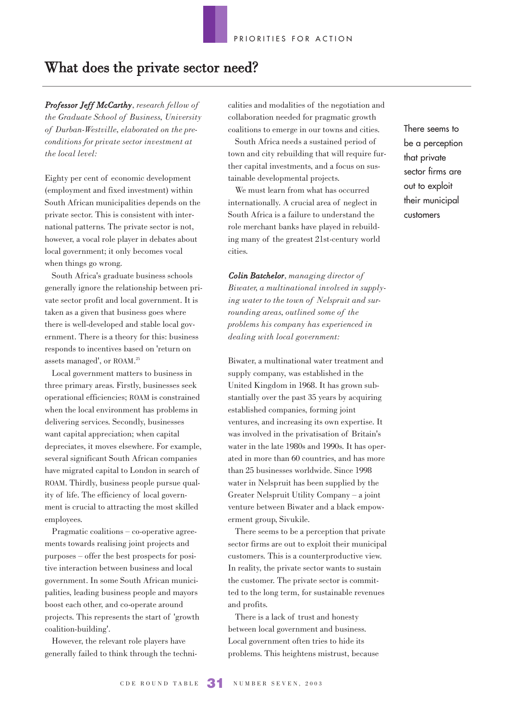# What does the private sector need?

*Professor Jeff McCarthy, research fellow of the Graduate School of Business, University of Durban-Westville, elaborated on the preconditions for private sector investment at the local level:*

Eighty per cent of economic development (employment and fixed investment) within South African municipalities depends on the private sector. This is consistent with international patterns. The private sector is not, however, a vocal role player in debates about local government; it only becomes vocal when things go wrong.

South Africa's graduate business schools generally ignore the relationship between private sector profit and local government. It is taken as a given that business goes where there is well-developed and stable local government. There is a theory for this: business responds to incentives based on 'return on assets managed', or ROAM. 25

Local government matters to business in three primary areas. Firstly, businesses seek operational efficiencies; ROAM is constrained when the local environment has problems in delivering services. Secondly, businesses want capital appreciation; when capital depreciates, it moves elsewhere. For example, several significant South African companies have migrated capital to London in search of ROAM. Thirdly, business people pursue quality of life. The efficiency of local government is crucial to attracting the most skilled employees.

Pragmatic coalitions – co-operative agreements towards realising joint projects and purposes – offer the best prospects for positive interaction between business and local government. In some South African municipalities, leading business people and mayors boost each other, and co-operate around projects. This represents the start of 'growth coalition-building'.

However, the relevant role players have generally failed to think through the technicalities and modalities of the negotiation and collaboration needed for pragmatic growth coalitions to emerge in our towns and cities.

South Africa needs a sustained period of town and city rebuilding that will require further capital investments, and a focus on sustainable developmental projects.

We must learn from what has occurred internationally. A crucial area of neglect in South Africa is a failure to understand the role merchant banks have played in rebuilding many of the greatest 21st-century world cities.

*Colin Batchelor, managing director of Biwater, a multinational involved in supplying water to the town of Nelspruit and surrounding areas, outlined some of the problems his company has experienced in dealing with local government:*

Biwater, a multinational water treatment and supply company, was established in the United Kingdom in 1968. It has grown substantially over the past 35 years by acquiring established companies, forming joint ventures, and increasing its own expertise. It was involved in the privatisation of Britain's water in the late 1980s and 1990s. It has operated in more than 60 countries, and has more than 25 businesses worldwide. Since 1998 water in Nelspruit has been supplied by the Greater Nelspruit Utility Company – a joint venture between Biwater and a black empowerment group, Sivukile.

There seems to be a perception that private sector firms are out to exploit their municipal customers. This is a counterproductive view. In reality, the private sector wants to sustain the customer. The private sector is committed to the long term, for sustainable revenues and profits.

There is a lack of trust and honesty between local government and business. Local government often tries to hide its problems. This heightens mistrust, because There seems to be a perception that private sector firms are out to exploit their municipal customers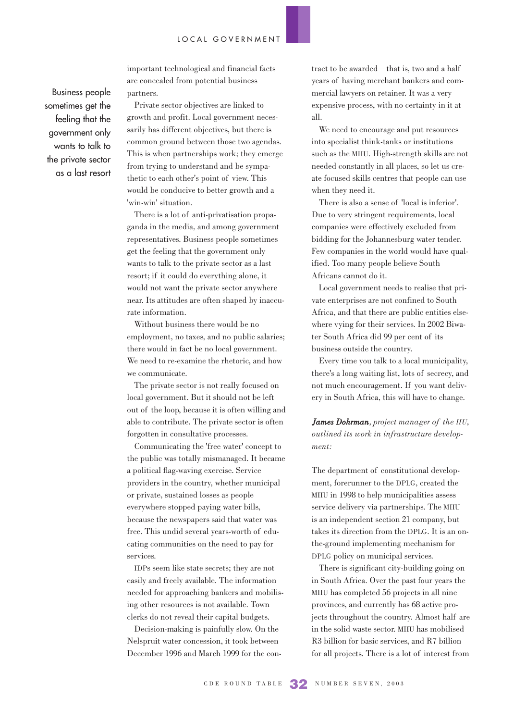important technological and financial facts are concealed from potential business partners.

Business people sometimes get the feeling that the government only wants to talk to the private sector as a last resort

Private sector objectives are linked to growth and profit. Local government necessarily has different objectives, but there is common ground between those two agendas. This is when partnerships work; they emerge from trying to understand and be sympathetic to each other's point of view. This would be conducive to better growth and a 'win-win' situation.

There is a lot of anti-privatisation propaganda in the media, and among government representatives. Business people sometimes get the feeling that the government only wants to talk to the private sector as a last resort; if it could do everything alone, it would not want the private sector anywhere near. Its attitudes are often shaped by inaccurate information.

Without business there would be no employment, no taxes, and no public salaries; there would in fact be no local government. We need to re-examine the rhetoric, and how we communicate.

The private sector is not really focused on local government. But it should not be left out of the loop, because it is often willing and able to contribute. The private sector is often forgotten in consultative processes.

Communicating the 'free water' concept to the public was totally mismanaged. It became a political flag-waving exercise. Service providers in the country, whether municipal or private, sustained losses as people everywhere stopped paying water bills, because the newspapers said that water was free. This undid several years-worth of educating communities on the need to pay for services.

IDPs seem like state secrets; they are not easily and freely available. The information needed for approaching bankers and mobilising other resources is not available. Town clerks do not reveal their capital budgets.

Decision-making is painfully slow. On the Nelspruit water concession, it took between December 1996 and March 1999 for the con-

tract to be awarded – that is, two and a half years of having merchant bankers and commercial lawyers on retainer. It was a very expensive process, with no certainty in it at all.

We need to encourage and put resources into specialist think-tanks or institutions such as the MIIU. High-strength skills are not needed constantly in all places, so let us create focused skills centres that people can use when they need it.

There is also a sense of 'local is inferior'. Due to very stringent requirements, local companies were effectively excluded from bidding for the Johannesburg water tender. Few companies in the world would have qualified. Too many people believe South Africans cannot do it.

Local government needs to realise that private enterprises are not confined to South Africa, and that there are public entities elsewhere vying for their services. In 2002 Biwater South Africa did 99 per cent of its business outside the country.

Every time you talk to a local municipality, there's a long waiting list, lots of secrecy, and not much encouragement. If you want delivery in South Africa, this will have to change.

*James Dohrman, project manager of the IIU, outlined its work in infrastructure development:*

The department of constitutional development, forerunner to the DPLG, created the MIIU in 1998 to help municipalities assess service delivery via partnerships. The MIIU is an independent section 21 company, but takes its direction from the DPLG. It is an onthe-ground implementing mechanism for DPLG policy on municipal services.

There is significant city-building going on in South Africa. Over the past four years the MIIU has completed 56 projects in all nine provinces, and currently has 68 active projects throughout the country. Almost half are in the solid waste sector. MIIU has mobilised R3 billion for basic services, and R7 billion for all projects. There is a lot of interest from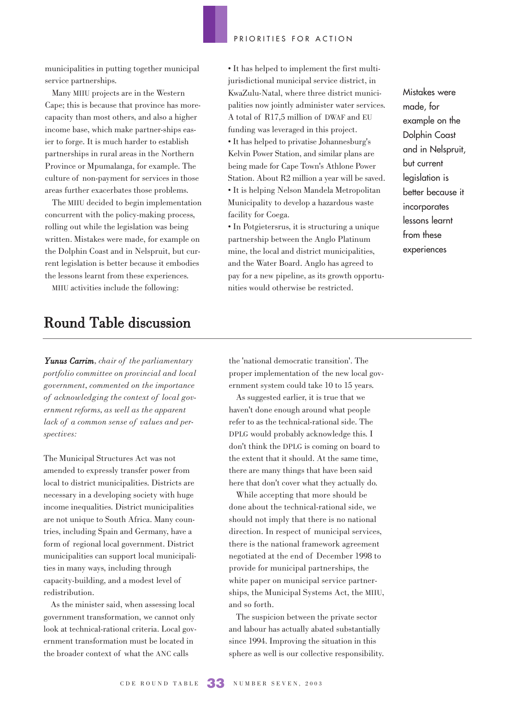municipalities in putting together municipal service partnerships.

Many MIIU projects are in the Western Cape; this is because that province has morecapacity than most others, and also a higher income base, which make partner-ships easier to forge. It is much harder to establish partnerships in rural areas in the Northern Province or Mpumalanga, for example. The culture of non-payment for services in those areas further exacerbates those problems.

The MIIU decided to begin implementation concurrent with the policy-making process, rolling out while the legislation was being written. Mistakes were made, for example on the Dolphin Coast and in Nelspruit, but current legislation is better because it embodies the lessons learnt from these experiences.

MIIU activities include the following:

# Round Table discussion

*Yunus Carrim, chair of the parliamentary portfolio committee on provincial and local government, commented on the importance of acknowledging the context of local government reforms, as well as the apparent lack of a common sense of values and perspectives:* 

The Municipal Structures Act was not amended to expressly transfer power from local to district municipalities. Districts are necessary in a developing society with huge income inequalities. District municipalities are not unique to South Africa. Many countries, including Spain and Germany, have a form of regional local government. District municipalities can support local municipalities in many ways, including through capacity-building, and a modest level of redistribution.

As the minister said, when assessing local government transformation, we cannot only look at technical-rational criteria. Local government transformation must be located in the broader context of what the ANC calls

• It has helped to implement the first multijurisdictional municipal service district, in KwaZulu-Natal, where three district municipalities now jointly administer water services. A total of R17,5 million of DWAF and EU funding was leveraged in this project. • It has helped to privatise Johannesburg's Kelvin Power Station, and similar plans are being made for Cape Town's Athlone Power Station. About R2 million a year will be saved. • It is helping Nelson Mandela Metropolitan Municipality to develop a hazardous waste facility for Coega.

• In Potgietersrus, it is structuring a unique partnership between the Anglo Platinum mine, the local and district municipalities, and the Water Board. Anglo has agreed to pay for a new pipeline, as its growth opportunities would otherwise be restricted.

Mistakes were made, for example on the Dolphin Coast and in Nelspruit, but current legislation is better because it incorporates lessons learnt from these experiences

the 'national democratic transition'. The proper implementation of the new local government system could take 10 to 15 years.

As suggested earlier, it is true that we haven't done enough around what people refer to as the technical-rational side. The DPLG would probably acknowledge this. I don't think the DPLG is coming on board to the extent that it should. At the same time, there are many things that have been said here that don't cover what they actually do.

While accepting that more should be done about the technical-rational side, we should not imply that there is no national direction. In respect of municipal services, there is the national framework agreement negotiated at the end of December 1998 to provide for municipal partnerships, the white paper on municipal service partnerships, the Municipal Systems Act, the MIIU, and so forth.

The suspicion between the private sector and labour has actually abated substantially since 1994. Improving the situation in this sphere as well is our collective responsibility.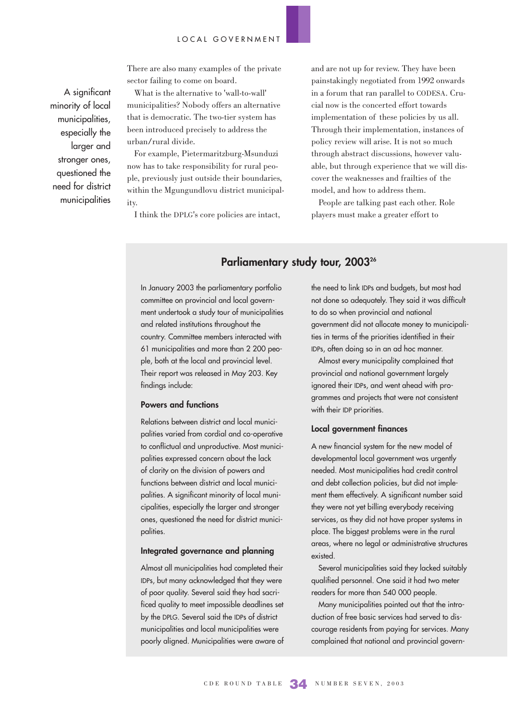There are also many examples of the private sector failing to come on board.

A significant minority of local municipalities, especially the larger and stronger ones, questioned the need for district municipalities

What is the alternative to 'wall-to-wall' municipalities? Nobody offers an alternative that is democratic. The two-tier system has been introduced precisely to address the urban/rural divide.

For example, Pietermaritzburg-Msunduzi now has to take responsibility for rural people, previously just outside their boundaries, within the Mgungundlovu district municipality.

I think the DPLG's core policies are intact,

and are not up for review. They have been painstakingly negotiated from 1992 onwards in a forum that ran parallel to CODESA. Crucial now is the concerted effort towards implementation of these policies by us all. Through their implementation, instances of policy review will arise. It is not so much through abstract discussions, however valuable, but through experience that we will discover the weaknesses and frailties of the model, and how to address them.

People are talking past each other. Role players must make a greater effort to

### Parliamentary study tour, 2003<sup>26</sup>

In January 2003 the parliamentary portfolio committee on provincial and local government undertook a study tour of municipalities and related institutions throughout the country. Committee members interacted with 61 municipalities and more than 2 200 people, both at the local and provincial level. Their report was released in May 203. Key findings include:

### **Powers and functions**

Relations between district and local municipalities varied from cordial and co-operative to conflictual and unproductive. Most municipalities expressed concern about the lack of clarity on the division of powers and functions between district and local municipalities. A significant minority of local municipalities, especially the larger and stronger ones, questioned the need for district municipalities.

### **Integrated governance and planning**

Almost all municipalities had completed their IDPs, but many acknowledged that they were of poor quality. Several said they had sacrificed quality to meet impossible deadlines set by the DPLG. Several said the IDPs of district municipalities and local municipalities were poorly aligned. Municipalities were aware of

the need to link IDPs and budgets, but most had not done so adequately. They said it was difficult to do so when provincial and national government did not allocate money to municipalities in terms of the priorities identified in their IDPs, often doing so in an ad hoc manner.

Almost every municipality complained that provincial and national government largely ignored their IDPs, and went ahead with programmes and projects that were not consistent with their IDP priorities.

### **Local government finances**

A new financial system for the new model of developmental local government was urgently needed. Most municipalities had credit control and debt collection policies, but did not implement them effectively. A significant number said they were not yet billing everybody receiving services, as they did not have proper systems in place. The biggest problems were in the rural areas, where no legal or administrative structures existed.

Several municipalities said they lacked suitably qualified personnel. One said it had two meter readers for more than 540 000 people.

Many municipalities pointed out that the introduction of free basic services had served to discourage residents from paying for services. Many complained that national and provincial govern-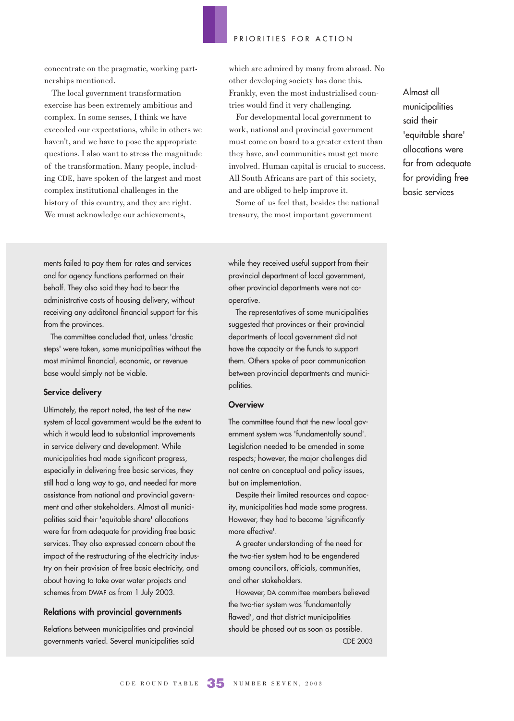concentrate on the pragmatic, working partnerships mentioned.

The local government transformation exercise has been extremely ambitious and complex. In some senses, I think we have exceeded our expectations, while in others we haven't, and we have to pose the appropriate questions. I also want to stress the magnitude of the transformation. Many people, including CDE, have spoken of the largest and most complex institutional challenges in the history of this country, and they are right. We must acknowledge our achievements,

which are admired by many from abroad. No other developing society has done this. Frankly, even the most industrialised countries would find it very challenging.

For developmental local government to work, national and provincial government must come on board to a greater extent than they have, and communities must get more involved. Human capital is crucial to success. All South Africans are part of this society, and are obliged to help improve it.

Some of us feel that, besides the national treasury, the most important government

Almost all municipalities said their 'equitable share' allocations were far from adequate for providing free basic services

ments failed to pay them for rates and services and for agency functions performed on their behalf. They also said they had to bear the administrative costs of housing delivery, without receiving any additonal financial support for this from the provinces.

The committee concluded that, unless 'drastic steps' were taken, some municipalities without the most minimal financial, economic, or revenue base would simply not be viable.

### **Service delivery**

Ultimately, the report noted, the test of the new system of local government would be the extent to which it would lead to substantial improvements in service delivery and development. While municipalities had made significant progress, especially in delivering free basic services, they still had a long way to go, and needed far more assistance from national and provincial government and other stakeholders. Almost all municipalities said their 'equitable share' allocations were far from adequate for providing free basic services. They also expressed concern about the impact of the restructuring of the electricity industry on their provision of free basic electricity, and about having to take over water projects and schemes from DWAF as from 1 July 2003.

### **Relations with provincial governments**

Relations between municipalities and provincial governments varied. Several municipalities said while they received useful support from their provincial department of local government, other provincial departments were not cooperative.

The representatives of some municipalities suggested that provinces or their provincial departments of local government did not have the capacity or the funds to support them. Others spoke of poor communication between provincial departments and municipalities.

### **Overview**

The committee found that the new local government system was 'fundamentally sound'. Legislation needed to be amended in some respects; however, the major challenges did not centre on conceptual and policy issues, but on implementation.

Despite their limited resources and capacity, municipalities had made some progress. However, they had to become 'significantly more effective'.

A greater understanding of the need for the two-tier system had to be engendered among councillors, officials, communities, and other stakeholders.

However, DA committee members believed the two-tier system was 'fundamentally flawed', and that district municipalities should be phased out as soon as possible. CDE 2003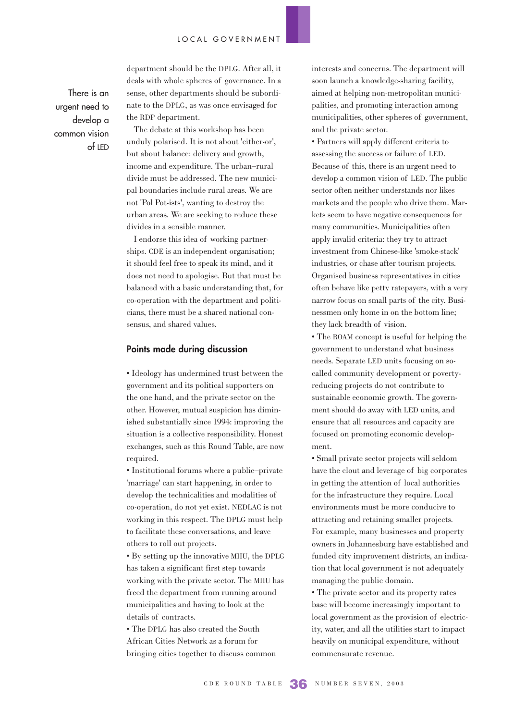There is an urgent need to develop a common vision of LED department should be the DPLG. After all, it deals with whole spheres of governance. In a sense, other departments should be subordinate to the DPLG, as was once envisaged for the RDP department.

The debate at this workshop has been unduly polarised. It is not about 'either-or', but about balance: delivery and growth, income and expenditure. The urban–rural divide must be addressed. The new municipal boundaries include rural areas. We are not 'Pol Pot-ists', wanting to destroy the urban areas. We are seeking to reduce these divides in a sensible manner.

I endorse this idea of working partnerships. CDE is an independent organisation; it should feel free to speak its mind, and it does not need to apologise. But that must be balanced with a basic understanding that, for co-operation with the department and politicians, there must be a shared national consensus, and shared values.

### **Points made during discussion**

• Ideology has undermined trust between the government and its political supporters on the one hand, and the private sector on the other. However, mutual suspicion has diminished substantially since 1994: improving the situation is a collective responsibility. Honest exchanges, such as this Round Table, are now required.

• Institutional forums where a public–private 'marriage' can start happening, in order to develop the technicalities and modalities of co-operation, do not yet exist. NEDLAC is not working in this respect. The DPLG must help to facilitate these conversations, and leave others to roll out projects.

• By setting up the innovative MIIU, the DPLG has taken a significant first step towards working with the private sector. The MIIU has freed the department from running around municipalities and having to look at the details of contracts.

• The DPLG has also created the South African Cities Network as a forum for bringing cities together to discuss common interests and concerns. The department will soon launch a knowledge-sharing facility, aimed at helping non-metropolitan municipalities, and promoting interaction among municipalities, other spheres of government, and the private sector.

• Partners will apply different criteria to assessing the success or failure of LED. Because of this, there is an urgent need to develop a common vision of LED. The public sector often neither understands nor likes markets and the people who drive them. Markets seem to have negative consequences for many communities. Municipalities often apply invalid criteria: they try to attract investment from Chinese-like 'smoke-stack' industries, or chase after tourism projects. Organised business representatives in cities often behave like petty ratepayers, with a very narrow focus on small parts of the city. Businessmen only home in on the bottom line; they lack breadth of vision.

• The ROAM concept is useful for helping the government to understand what business needs. Separate LED units focusing on socalled community development or povertyreducing projects do not contribute to sustainable economic growth. The government should do away with LED units, and ensure that all resources and capacity are focused on promoting economic development.

• Small private sector projects will seldom have the clout and leverage of big corporates in getting the attention of local authorities for the infrastructure they require. Local environments must be more conducive to attracting and retaining smaller projects. For example, many businesses and property owners in Johannesburg have established and funded city improvement districts, an indication that local government is not adequately managing the public domain.

• The private sector and its property rates base will become increasingly important to local government as the provision of electricity, water, and all the utilities start to impact heavily on municipal expenditure, without commensurate revenue.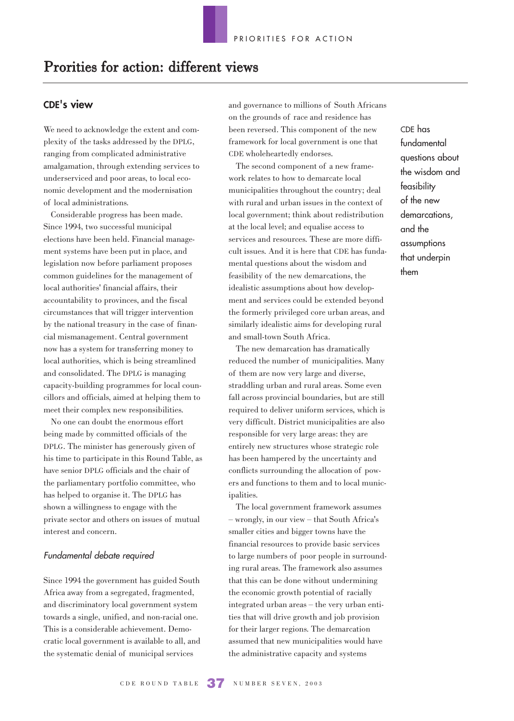# Prorities for action: different views

### **CDE's view**

We need to acknowledge the extent and complexity of the tasks addressed by the DPLG, ranging from complicated administrative amalgamation, through extending services to underserviced and poor areas, to local economic development and the modernisation of local administrations.

Considerable progress has been made. Since 1994, two successful municipal elections have been held. Financial management systems have been put in place, and legislation now before parliament proposes common guidelines for the management of local authorities' financial affairs, their accountability to provinces, and the fiscal circumstances that will trigger intervention by the national treasury in the case of financial mismanagement. Central government now has a system for transferring money to local authorities, which is being streamlined and consolidated. The DPLG is managing capacity-building programmes for local councillors and officials, aimed at helping them to meet their complex new responsibilities.

No one can doubt the enormous effort being made by committed officials of the DPLG. The minister has generously given of his time to participate in this Round Table, as have senior DPLG officials and the chair of the parliamentary portfolio committee, who has helped to organise it. The DPLG has shown a willingness to engage with the private sector and others on issues of mutual interest and concern.

#### Fundamental debate required

Since 1994 the government has guided South Africa away from a segregated, fragmented, and discriminatory local government system towards a single, unified, and non-racial one. This is a considerable achievement. Democratic local government is available to all, and the systematic denial of municipal services

and governance to millions of South Africans on the grounds of race and residence has been reversed. This component of the new framework for local government is one that CDE wholeheartedly endorses.

The second component of a new framework relates to how to demarcate local municipalities throughout the country; deal with rural and urban issues in the context of local government; think about redistribution at the local level; and equalise access to services and resources. These are more difficult issues. And it is here that CDE has fundamental questions about the wisdom and feasibility of the new demarcations, the idealistic assumptions about how development and services could be extended beyond the formerly privileged core urban areas, and similarly idealistic aims for developing rural and small-town South Africa.

The new demarcation has dramatically reduced the number of municipalities. Many of them are now very large and diverse, straddling urban and rural areas. Some even fall across provincial boundaries, but are still required to deliver uniform services, which is very difficult. District municipalities are also responsible for very large areas: they are entirely new structures whose strategic role has been hampered by the uncertainty and conflicts surrounding the allocation of powers and functions to them and to local municipalities.

The local government framework assumes – wrongly, in our view – that South Africa's smaller cities and bigger towns have the financial resources to provide basic services to large numbers of poor people in surrounding rural areas. The framework also assumes that this can be done without undermining the economic growth potential of racially integrated urban areas – the very urban entities that will drive growth and job provision for their larger regions. The demarcation assumed that new municipalities would have the administrative capacity and systems

CDE has fundamental questions about the wisdom and feasibility of the new demarcations, and the assumptions that underpin them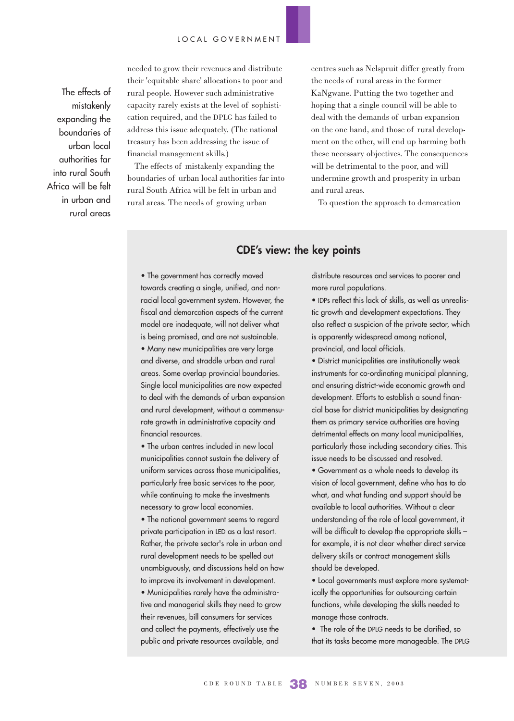The effects of mistakenly expanding the boundaries of urban local authorities far into rural South Africa will be felt in urban and rural areas needed to grow their revenues and distribute their 'equitable share' allocations to poor and rural people. However such administrative capacity rarely exists at the level of sophistication required, and the DPLG has failed to address this issue adequately. (The national treasury has been addressing the issue of financial management skills.)

The effects of mistakenly expanding the boundaries of urban local authorities far into rural South Africa will be felt in urban and rural areas. The needs of growing urban

centres such as Nelspruit differ greatly from the needs of rural areas in the former KaNgwane. Putting the two together and hoping that a single council will be able to deal with the demands of urban expansion on the one hand, and those of rural development on the other, will end up harming both these necessary objectives. The consequences will be detrimental to the poor, and will undermine growth and prosperity in urban and rural areas.

To question the approach to demarcation

### **CDE's view: the key points**

• The government has correctly moved towards creating a single, unified, and nonracial local government system. However, the fiscal and demarcation aspects of the current model are inadequate, will not deliver what is being promised, and are not sustainable.

• Many new municipalities are very large and diverse, and straddle urban and rural areas. Some overlap provincial boundaries. Single local municipalities are now expected to deal with the demands of urban expansion and rural development, without a commensurate growth in administrative capacity and financial resources.

• The urban centres included in new local municipalities cannot sustain the delivery of uniform services across those municipalities, particularly free basic services to the poor, while continuing to make the investments necessary to grow local economies.

• The national government seems to regard private participation in LED as a last resort. Rather, the private sector's role in urban and rural development needs to be spelled out unambiguously, and discussions held on how to improve its involvement in development.

• Municipalities rarely have the administrative and managerial skills they need to grow their revenues, bill consumers for services and collect the payments, effectively use the public and private resources available, and

distribute resources and services to poorer and more rural populations.

• IDPs reflect this lack of skills, as well as unrealistic growth and development expectations. They also reflect a suspicion of the private sector, which is apparently widespread among national, provincial, and local officials.

• District municipalities are institutionally weak instruments for co-ordinating municipal planning, and ensuring district-wide economic growth and development. Efforts to establish a sound financial base for district municipalities by designating them as primary service authorities are having detrimental effects on many local municipalities, particularly those including secondary cities. This issue needs to be discussed and resolved.

• Government as a whole needs to develop its vision of local government, define who has to do what, and what funding and support should be available to local authorities. Without a clear understanding of the role of local government, it will be difficult to develop the appropriate skills – for example, it is not clear whether direct service delivery skills or contract management skills should be developed.

• Local governments must explore more systematically the opportunities for outsourcing certain functions, while developing the skills needed to manage those contracts.

• The role of the DPLG needs to be clarified, so that its tasks become more manageable. The DPLG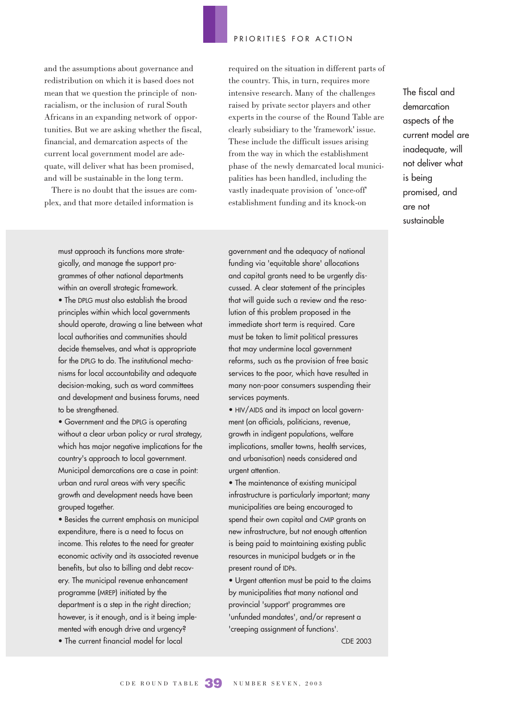and the assumptions about governance and redistribution on which it is based does not mean that we question the principle of nonracialism, or the inclusion of rural South Africans in an expanding network of opportunities. But we are asking whether the fiscal, financial, and demarcation aspects of the current local government model are adequate, will deliver what has been promised, and will be sustainable in the long term.

There is no doubt that the issues are complex, and that more detailed information is

must approach its functions more strategically, and manage the support programmes of other national departments within an overall strategic framework. • The DPLG must also establish the broad principles within which local governments should operate, drawing a line between what local authorities and communities should decide themselves, and what is appropriate for the DPLG to do. The institutional mechanisms for local accountability and adequate decision-making, such as ward committees and development and business forums, need to be strengthened.

• Government and the DPLG is operating without a clear urban policy or rural strategy, which has major negative implications for the country's approach to local government. Municipal demarcations are a case in point: urban and rural areas with very specific growth and development needs have been grouped together.

• Besides the current emphasis on municipal expenditure, there is a need to focus on income. This relates to the need for greater economic activity and its associated revenue benefits, but also to billing and debt recovery. The municipal revenue enhancement programme (MREP) initiated by the department is a step in the right direction; however, is it enough, and is it being implemented with enough drive and urgency? • The current financial model for local

required on the situation in different parts of the country. This, in turn, requires more intensive research. Many of the challenges raised by private sector players and other experts in the course of the Round Table are clearly subsidiary to the 'framework' issue. These include the difficult issues arising from the way in which the establishment phase of the newly demarcated local municipalities has been handled, including the vastly inadequate provision of 'once-off' establishment funding and its knock-on

The fiscal and demarcation aspects of the current model are inadequate, will not deliver what

is being

are not sustainable

promised, and

government and the adequacy of national funding via 'equitable share' allocations and capital grants need to be urgently discussed. A clear statement of the principles that will guide such a review and the resolution of this problem proposed in the immediate short term is required. Care must be taken to limit political pressures that may undermine local government reforms, such as the provision of free basic services to the poor, which have resulted in many non-poor consumers suspending their services payments.

• HIV/AIDS and its impact on local government (on officials, politicians, revenue, growth in indigent populations, welfare implications, smaller towns, health services, and urbanisation) needs considered and urgent attention.

• The maintenance of existing municipal infrastructure is particularly important; many municipalities are being encouraged to spend their own capital and CMIP grants on new infrastructure, but not enough attention is being paid to maintaining existing public resources in municipal budgets or in the present round of IDPs.

• Urgent attention must be paid to the claims by municipalities that many national and provincial 'support' programmes are 'unfunded mandates', and/or represent a 'creeping assignment of functions'.

CDE 2003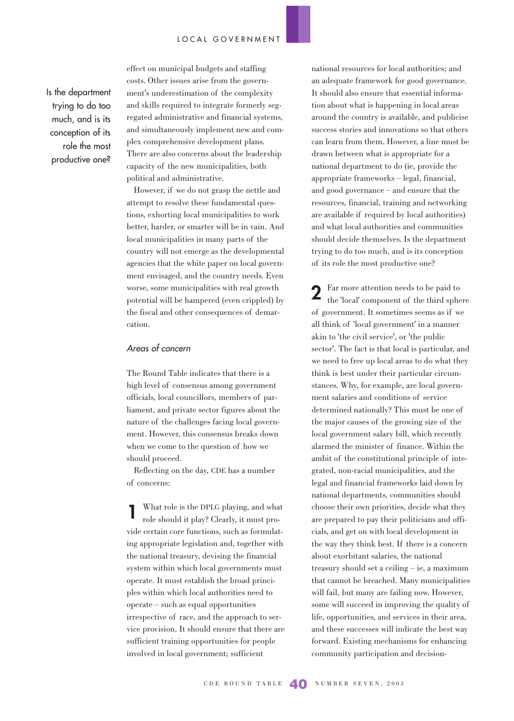Is the department trying to do too much, and is its conception of its role the most productive one? effect on municipal budgets and staffing costs. Other issues arise from the government's underestimation of the complexity and skills required to integrate formerly segregated administrative and financial systems, and simultaneously implement new and complex comprehensive development plans. There are also concerns about the leadership capacity of the new municipalities, both political and administrative.

However, if we do not grasp the nettle and attempt to resolve these fundamental questions, exhorting local municipalities to work better, harder, or smarter will be in vain. And local municipalities in many parts of the country will not emerge as the developmental agencies that the white paper on local government envisaged, and the country needs. Even worse, some municipalities with real growth potential will be hampered (even crippled) by the fiscal and other consequences of demarcation.

### Areas of concern

The Round Table indicates that there is a high level of consensus among government officials, local councillors, members of parliament, and private sector figures about the nature of the challenges facing local government. However, this consensus breaks down when we come to the question of how we should proceed.

Reflecting on the day, CDE has a number of concerns:

What role is the DPLG playing, and what role should it play? Clearly, it must provide certain core functions, such as formulating appropriate legislation and, together with the national treasury, devising the financial system within which local governments must operate. It must establish the broad principles within which local authorities need to operate – such as equal opportunities irrespective of race, and the approach to service provision. It should ensure that there are sufficient training opportunities for people involved in local government; sufficient **1**

national resources for local authorities; and an adequate framework for good governance. It should also ensure that essential information about what is happening in local areas around the country is available, and publicise success stories and innovations so that others can learn from them. However, a line must be drawn between what is appropriate for a national department to do (ie, provide the appropriate frameworks – legal, financial, and good governance – and ensure that the resources, financial, training and networking are available if required by local authorities) and what local authorities and communities should decide themselves. Is the department trying to do too much, and is its conception of its role the most productive one?

Far more attention needs to be paid to the 'local' component of the third sphere of government. It sometimes seems as if we all think of 'local government' in a manner akin to 'the civil service', or 'the public sector'. The fact is that local is particular, and we need to free up local areas to do what they think is best under their particular circumstances. Why, for example, are local government salaries and conditions of service determined nationally? This must be one of the major causes of the growing size of the local government salary bill, which recently alarmed the minister of finance. Within the ambit of the constitutional principle of integrated, non-racial municipalities, and the legal and financial frameworks laid down by national departments, communities should choose their own priorities, decide what they are prepared to pay their politicians and officials, and get on with local development in the way they think best. If there is a concern about exorbitant salaries, the national treasury should set a ceiling – ie, a maximum that cannot be breached. Many municipalities will fail, but many are failing now. However, some will succeed in improving the quality of life, opportunities, and services in their area, and these successes will indicate the best way forward. Existing mechanisms for enhancing community participation and decision-**2**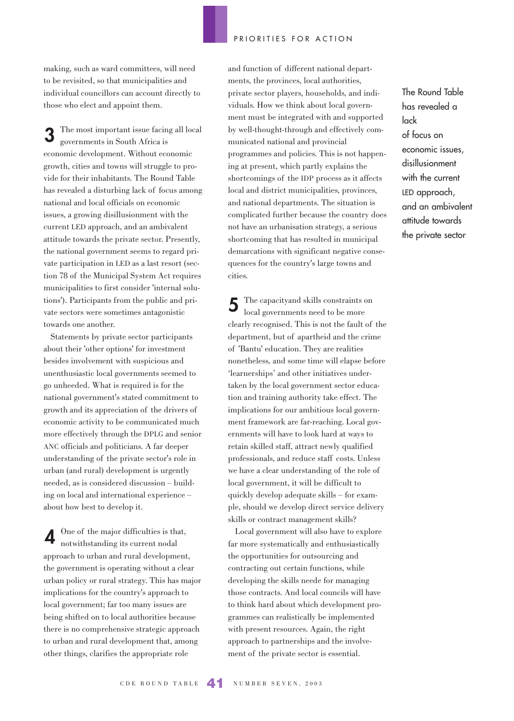making, such as ward committees, will need to be revisited, so that municipalities and individual councillors can account directly to those who elect and appoint them.

The most important issue facing all local governments in South Africa is economic development. Without economic growth, cities and towns will struggle to provide for their inhabitants. The Round Table has revealed a disturbing lack of focus among national and local officials on economic issues, a growing disillusionment with the current LED approach, and an ambivalent attitude towards the private sector. Presently, the national government seems to regard private participation in LED as a last resort (section 78 of the Municipal System Act requires municipalities to first consider 'internal solutions'). Participants from the public and private sectors were sometimes antagonistic towards one another. **3**

Statements by private sector participants about their 'other options' for investment besides involvement with suspicious and unenthusiastic local governments seemed to go unheeded. What is required is for the national government's stated commitment to growth and its appreciation of the drivers of economic activity to be communicated much more effectively through the DPLG and senior ANC officials and politicians. A far deeper understanding of the private sector's role in urban (and rural) development is urgently needed, as is considered discussion – building on local and international experience – about how best to develop it.

One of the major difficulties is that, notwithstanding its current nodal approach to urban and rural development, the government is operating without a clear urban policy or rural strategy. This has major implications for the country's approach to local government; far too many issues are being shifted on to local authorities because there is no comprehensive strategic approach to urban and rural development that, among other things, clarifies the appropriate role **4**

and function of different national departments, the provinces, local authorities, private sector players, households, and individuals. How we think about local government must be integrated with and supported by well-thought-through and effectively communicated national and provincial programmes and policies. This is not happening at present, which partly explains the shortcomings of the IDP process as it affects local and district municipalities, provinces, and national departments. The situation is complicated further because the country does not have an urbanisation strategy, a serious shortcoming that has resulted in municipal demarcations with significant negative consequences for the country's large towns and cities.

The capacityand skills constraints on local governments need to be more clearly recognised. This is not the fault of the department, but of apartheid and the crime of 'Bantu' education. They are realities nonetheless, and some time will elapse before 'learnerships' and other initiatives undertaken by the local government sector education and training authority take effect. The implications for our ambitious local government framework are far-reaching. Local governments will have to look hard at ways to retain skilled staff, attract newly qualified professionals, and reduce staff costs. Unless we have a clear understanding of the role of local government, it will be difficult to quickly develop adequate skills – for example, should we develop direct service delivery skills or contract management skills? **5**

Local government will also have to explore far more systematically and enthusiastically the opportunities for outsourcing and contracting out certain functions, while developing the skills neede for managing those contracts. And local councils will have to think hard about which development programmes can realistically be implemented with present resources. Again, the right approach to partnerships and the involvement of the private sector is essential.

The Round Table has revealed a lack of focus on economic issues, disillusionment with the current LED approach, and an ambivalent attitude towards the private sector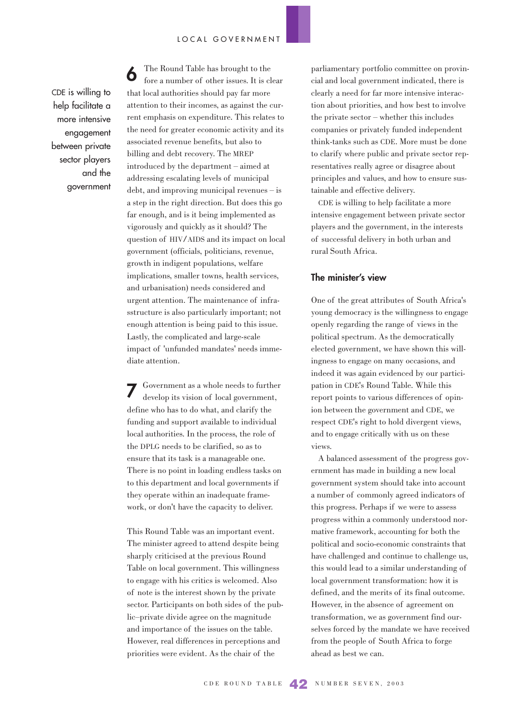CDE is willing to help facilitate a more intensive engagement between private sector players and the government

The Round Table has brought to the fore a number of other issues. It is clear that local authorities should pay far more attention to their incomes, as against the current emphasis on expenditure. This relates to the need for greater economic activity and its associated revenue benefits, but also to billing and debt recovery. The MREP introduced by the department – aimed at addressing escalating levels of municipal debt, and improving municipal revenues – is a step in the right direction. But does this go far enough, and is it being implemented as vigorously and quickly as it should? The question of HIV/AIDS and its impact on local government (officials, politicians, revenue, growth in indigent populations, welfare implications, smaller towns, health services, and urbanisation) needs considered and urgent attention. The maintenance of infrasstructure is also particularly important; not enough attention is being paid to this issue. Lastly, the complicated and large-scale impact of 'unfunded mandates' needs immediate attention. **6**

Government as a whole needs to further develop its vision of local government, define who has to do what, and clarify the funding and support available to individual local authorities. In the process, the role of the DPLG needs to be clarified, so as to ensure that its task is a manageable one. There is no point in loading endless tasks on to this department and local governments if they operate within an inadequate framework, or don't have the capacity to deliver. **7**

This Round Table was an important event. The minister agreed to attend despite being sharply criticised at the previous Round Table on local government. This willingness to engage with his critics is welcomed. Also of note is the interest shown by the private sector. Participants on both sides of the public–private divide agree on the magnitude and importance of the issues on the table. However, real differences in perceptions and priorities were evident. As the chair of the

parliamentary portfolio committee on provincial and local government indicated, there is clearly a need for far more intensive interaction about priorities, and how best to involve the private sector – whether this includes companies or privately funded independent think-tanks such as CDE. More must be done to clarify where public and private sector representatives really agree or disagree about principles and values, and how to ensure sustainable and effective delivery.

CDE is willing to help facilitate a more intensive engagement between private sector players and the government, in the interests of successful delivery in both urban and rural South Africa.

### **The minister's view**

One of the great attributes of South Africa's young democracy is the willingness to engage openly regarding the range of views in the political spectrum. As the democratically elected government, we have shown this willingness to engage on many occasions, and indeed it was again evidenced by our participation in CDE's Round Table. While this report points to various differences of opinion between the government and CDE, we respect CDE's right to hold divergent views, and to engage critically with us on these views.

A balanced assessment of the progress government has made in building a new local government system should take into account a number of commonly agreed indicators of this progress. Perhaps if we were to assess progress within a commonly understood normative framework, accounting for both the political and socio-economic constraints that have challenged and continue to challenge us, this would lead to a similar understanding of local government transformation: how it is defined, and the merits of its final outcome. However, in the absence of agreement on transformation, we as government find ourselves forced by the mandate we have received from the people of South Africa to forge ahead as best we can.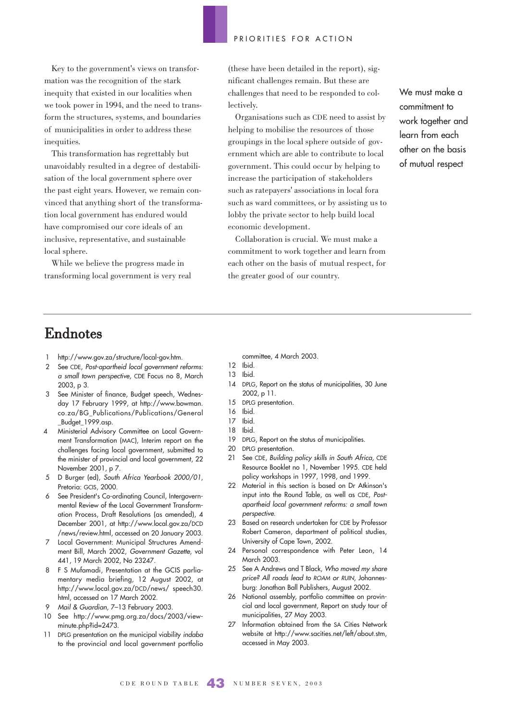Key to the government's views on transformation was the recognition of the stark inequity that existed in our localities when we took power in 1994, and the need to transform the structures, systems, and boundaries of municipalities in order to address these inequities.

This transformation has regrettably but unavoidably resulted in a degree of destabilisation of the local government sphere over the past eight years. However, we remain convinced that anything short of the transformation local government has endured would have compromised our core ideals of an inclusive, representative, and sustainable local sphere.

While we believe the progress made in transforming local government is very real (these have been detailed in the report), significant challenges remain. But these are challenges that need to be responded to collectively.

Organisations such as CDE need to assist by helping to mobilise the resources of those groupings in the local sphere outside of government which are able to contribute to local government. This could occur by helping to increase the participation of stakeholders such as ratepayers' associations in local fora such as ward committees, or by assisting us to lobby the private sector to help build local economic development.

Collaboration is crucial. We must make a commitment to work together and learn from each other on the basis of mutual respect, for the greater good of our country.

We must make a commitment to work together and learn from each other on the basis of mutual respect

# Endnotes

- http://www.gov.za/structure/local-gov.htm.
- 2 See CDE, Post-apartheid local government reforms: a small town perspective, CDE Focus no 8, March 2003, p 3.
- 3 See Minister of finance, Budget speech, Wednesday 17 February 1999, at http://www.bowman. co.za/BG\_Publications/Publications/General \_Budget\_1999.asp.
- 4 Ministerial Advisory Committee on Local Government Transformation (MAC), Interim report on the challenges facing local government, submitted to the minister of provincial and local government, 22 November 2001, p 7.
- 5 D Burger (ed), South Africa Yearbook 2000/01, Pretoria: GCIS, 2000.
- 6 See President's Co-ordinating Council, Intergovernmental Review of the Local Government Transformation Process, Draft Resolutions (as amended), 4 December 2001, at http://www.local.gov.za/DCD /news/review.html, accessed on 20 January 2003.
- 7 Local Government: Municipal Structures Amendment Bill, March 2002, Government Gazette, vol 441, 19 March 2002, No 23247.
- 8 F S Mufamadi, Presentation at the GCIS parliamentary media briefing, 12 August 2002, at http://www.local.gov.za/DCD/news/ speech30. html, accessed on 17 March 2002.
- 9 Mail & Guardian, 7–13 February 2003.
- 10 See http://www.pmg.org.za/docs/2003/viewminute.php?id=2473.
- 11 DPLG presentation on the municipal viability indaba to the provincial and local government portfolio

committee, 4 March 2003.

- 12 Ibid.
- 13 Ibid.
- 14 DPLG, Report on the status of municipalities, 30 June 2002, p 11.
- 15 DPLG presentation.
- 16 Ibid.
- 17 Ibid.
- 18 Ibid.
- 19 DPLG, Report on the status of municipalities.
- 20 DPLG presentation.
- 21 See CDE, Building policy skills in South Africa, CDE Resource Booklet no 1, November 1995. CDE held policy workshops in 1997, 1998, and 1999.
- 22 Material in this section is based on Dr Atkinson's input into the Round Table, as well as CDE, Postapartheid local government reforms: a small town perspective.
- 23 Based on research undertaken for CDE by Professor Robert Cameron, department of political studies, University of Cape Town, 2002.
- 24 Personal correspondence with Peter Leon, 14 March 2003.
- 25 See A Andrews and T Black, Who moved my share price? All roads lead to ROAM or RUIN, Johannesburg: Jonathan Ball Publishers, August 2002.
- 26 National assembly, portfolio committee on provincial and local government, Report on study tour of municipalities, 27 May 2003.
- 27 Information obtained from the SA Cities Network website at http://www.sacities.net/left/about.stm, accessed in May 2003.